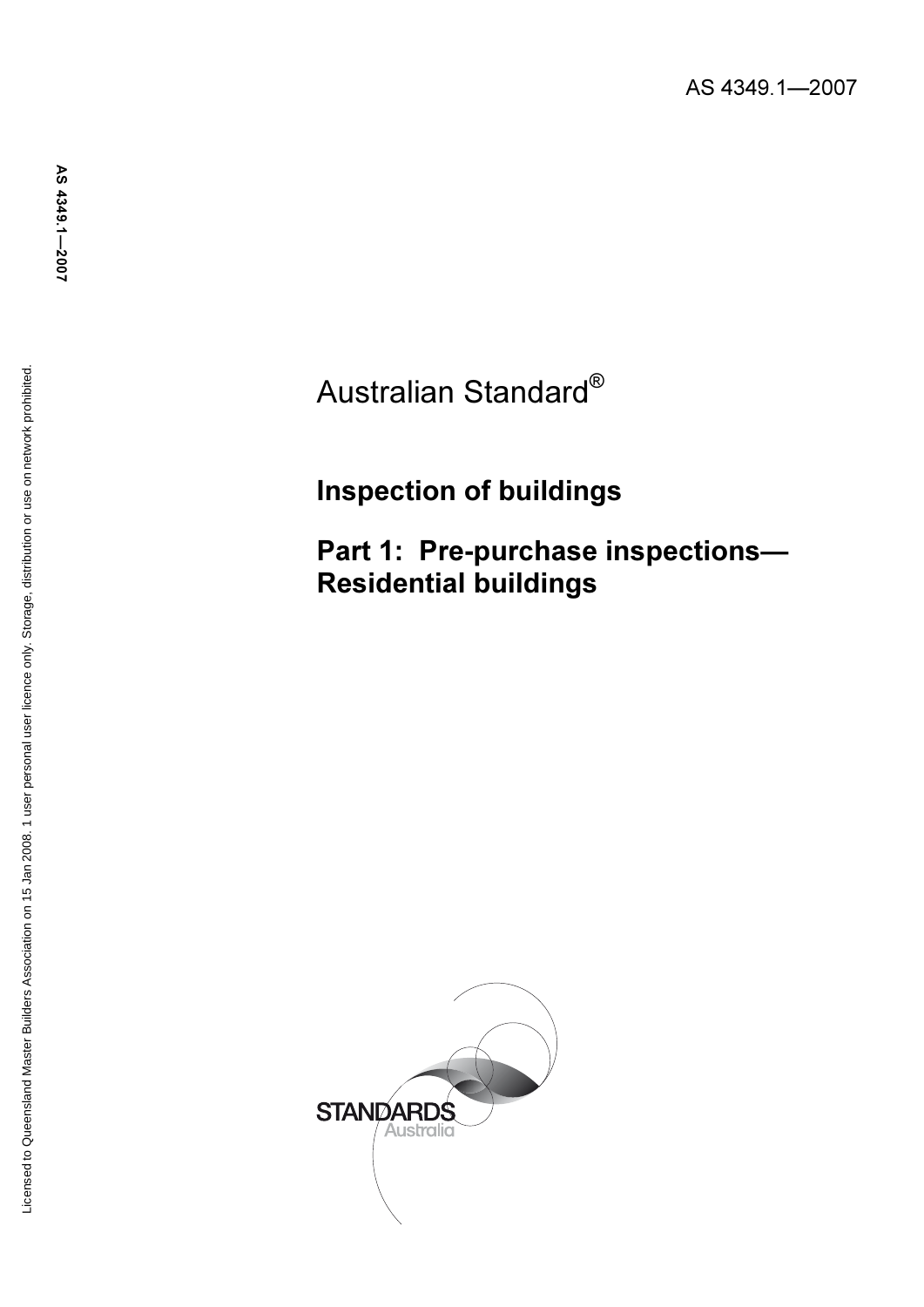# Australian Standard®

# Inspection of buildings

Part 1: Pre-purchase inspections— Residential buildings

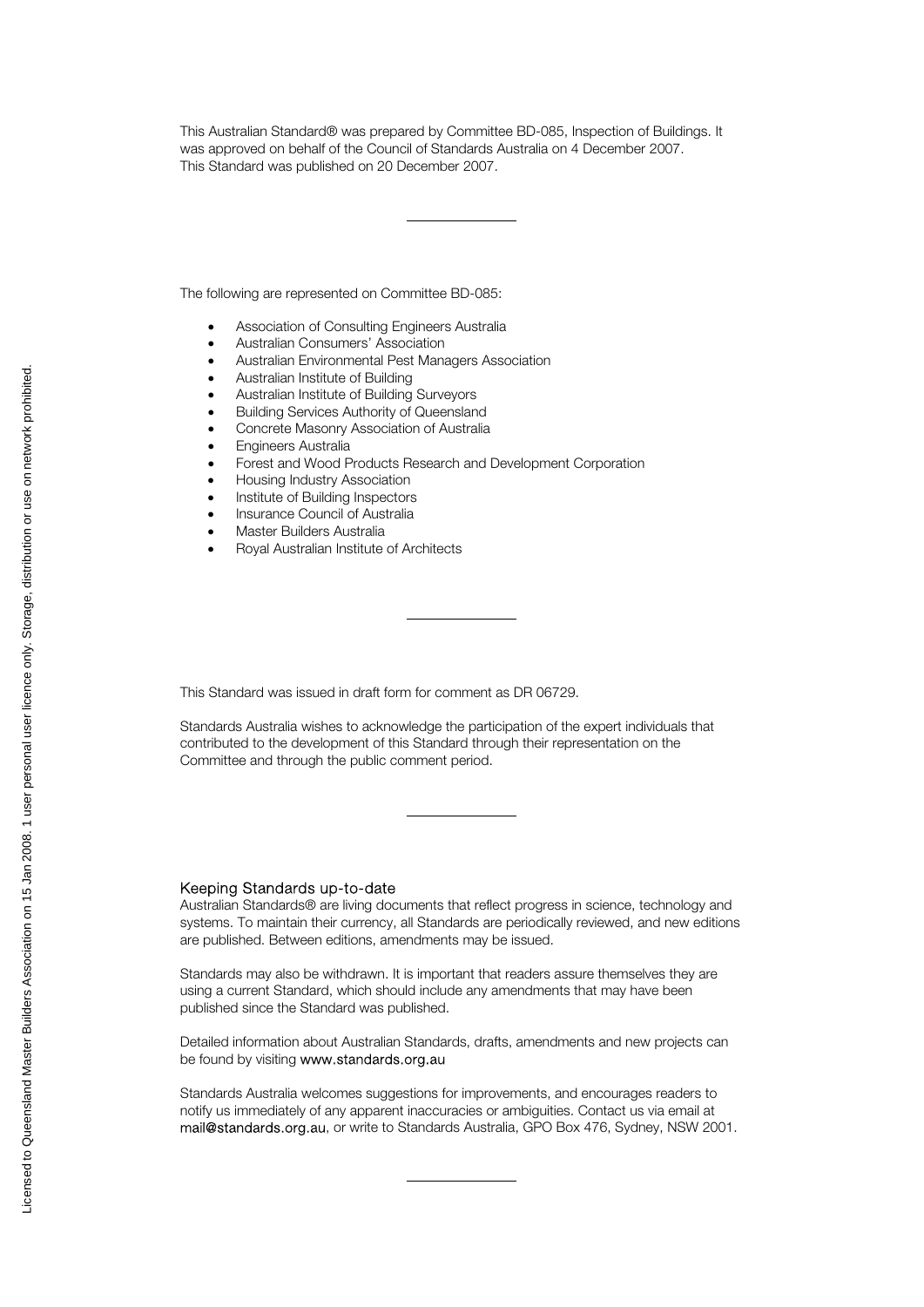This Australian Standard® was prepared by Committee BD-085, Inspection of Buildings. It was approved on behalf of the Council of Standards Australia on 4 December 2007. This Standard was published on 20 December 2007.

The following are represented on Committee BD-085:

- •Association of Consulting Engineers Australia •
- Australian Consumers' Association •
- Australian Environmental Pest Managers Association •
- Australian Institute of Building •
- Australian Institute of Building Surveyors •
- Building Services Authority of Queensland •
- Concrete Masonry Association of Australia •
- Engineers Australia •
- Forest and Wood Products Research and Development Corporation •
- Housing Industry Association •
- Institute of Building Inspectors •
- Insurance Council of Australia •
- Master Builders Australia •
- Royal Australian Institute of Architects

This Standard was issued in draft form for comment as DR 06729.

Standards Australia wishes to acknowledge the participation of the expert individuals that contributed to the development of this Standard through their representation on the Committee and through the public comment period.

#### Keeping Standards up-to-date

Australian Standards® are living documents that reflect progress in science, technology and systems. To maintain their currency, all Standards are periodically reviewed, and new editions are published. Between editions, amendments may be issued.

Standards may also be withdrawn. It is important that readers assure themselves they are using a current Standard, which should include any amendments that may have been published since the Standard was published.

Detailed information about Australian Standards, drafts, amendments and new projects can be found by visiting www.standards.org.au

Standards Australia welcomes suggestions for improvements, and encourages readers to notify us immediately of any apparent inaccuracies or ambiguities. Contact us via email at mail@standards.org.au, or write to Standards Australia, GPO Box 476, Sydney, NSW 2001.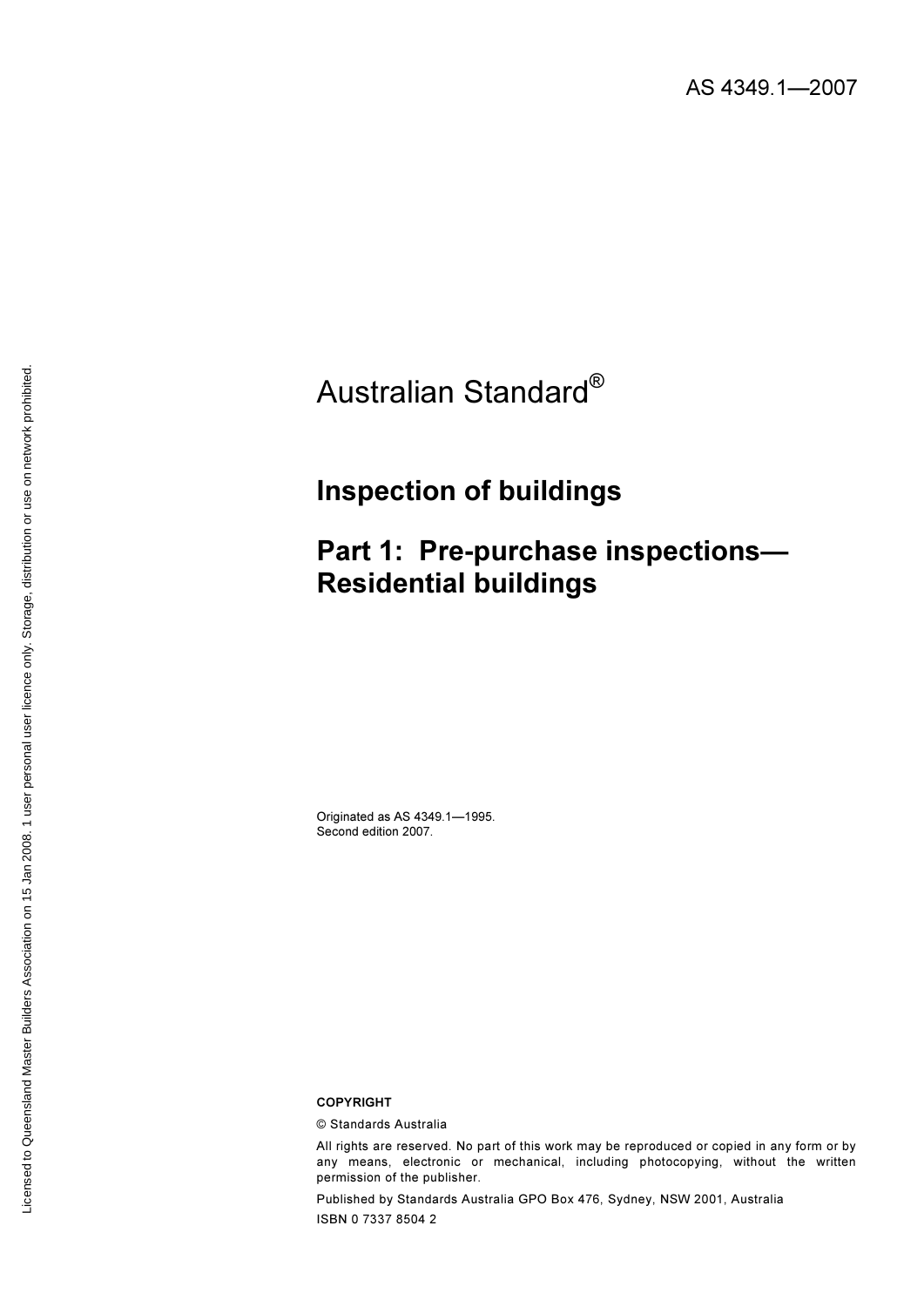# Australian Standard®

# Inspection of buildings

# Part 1: Pre-purchase inspections— Residential buildings

Originated as AS 4349.1—1995. Second edition 2007.

COPYRIGHT

© Standards Australia<br>All rights are reserved. No part of this work may be reproduced or copied in any form or by any means, electronic or mechanical, including photocopying, without the written permission of the publisher.

Published by Standards Australia GPO Box 476, Sydney, NSW 2001, Australia ISBN 0 7337 8504 2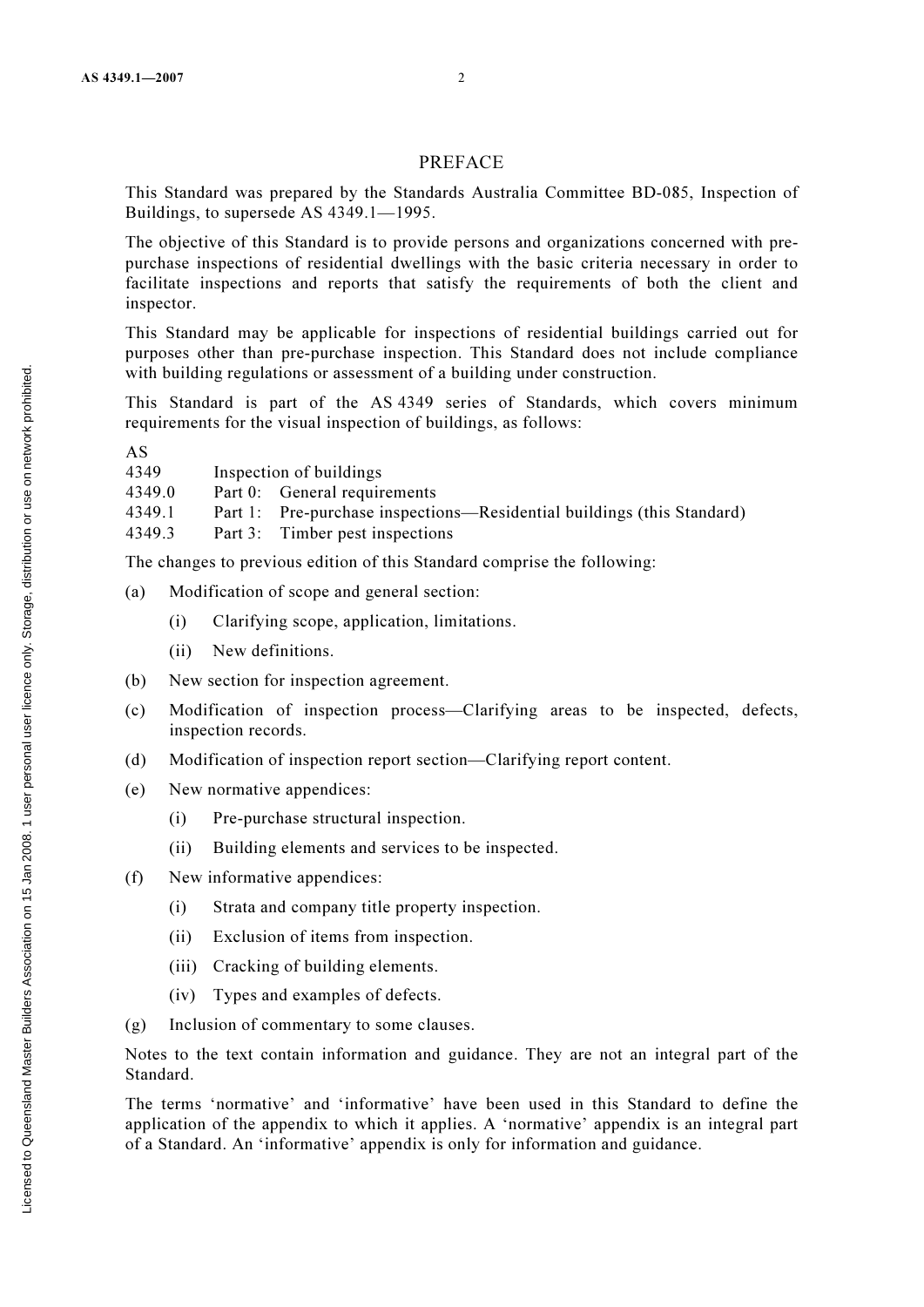### PREFACE

This Standard was prepared by the Standards Australia Committee BD-085, Inspection of Buildings, to supersede AS 4349.1—1995.

The objective of this Standard is to provide persons and organizations concerned with prepurchase inspections of residential dwellings with the basic criteria necessary in order to facilitate inspections and reports that satisfy the requirements of both the client and inspector.

This Standard may be applicable for inspections of residential buildings carried out for purposes other than pre-purchase inspection. This Standard does not include compliance with building regulations or assessment of a building under construction.

This Standard is part of the AS 4349 series of Standards, which covers minimum requirements for the visual inspection of buildings, as follows:

AS

| 4349   | Inspection of buildings                                                |
|--------|------------------------------------------------------------------------|
| 4349.0 | Part 0: General requirements                                           |
| 4349.1 | Part 1: Pre-purchase inspections—Residential buildings (this Standard) |
| 4349.3 | Part 3: Timber pest inspections                                        |
|        |                                                                        |

The changes to previous edition of this Standard comprise the following:

- (a) Modification of scope and general section:
	- (i) Clarifying scope, application, limitations.
	- (ii) New definitions.
- (b) New section for inspection agreement.
- (c) Modification of inspection process—Clarifying areas to be inspected, defects, inspection records.
- (d) Modification of inspection report section—Clarifying report content.
- (e) New normative appendices:
	- (i) Pre-purchase structural inspection.
	- (ii) Building elements and services to be inspected.
- (f) New informative appendices:
	- (i) Strata and company title property inspection.
	- (ii) Exclusion of items from inspection.
	- (iii) Cracking of building elements.
	- (iv) Types and examples of defects.
- (g) Inclusion of commentary to some clauses.

Notes to the text contain information and guidance. They are not an integral part of the Standard.

The terms 'normative' and 'informative' have been used in this Standard to define the application of the appendix to which it applies. A 'normative' appendix is an integral part of a Standard. An 'informative' appendix is only for information and guidance.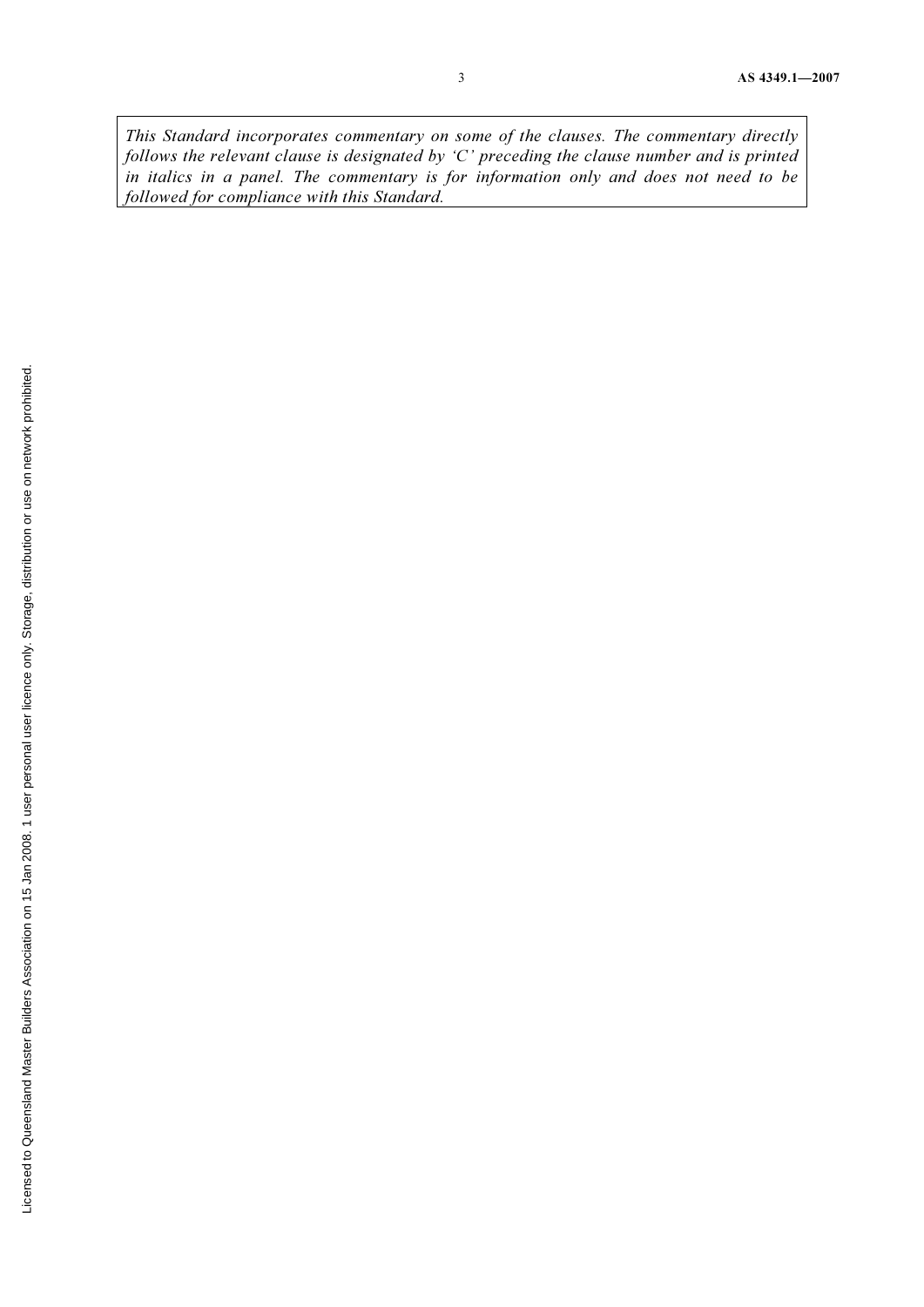This Standard incorporates commentary on some of the clauses. The commentary directly follows the relevant clause is designated by 'C' preceding the clause number and is printed in italics in a panel. The commentary is for information only and does not need to be followed for compliance with this Standard.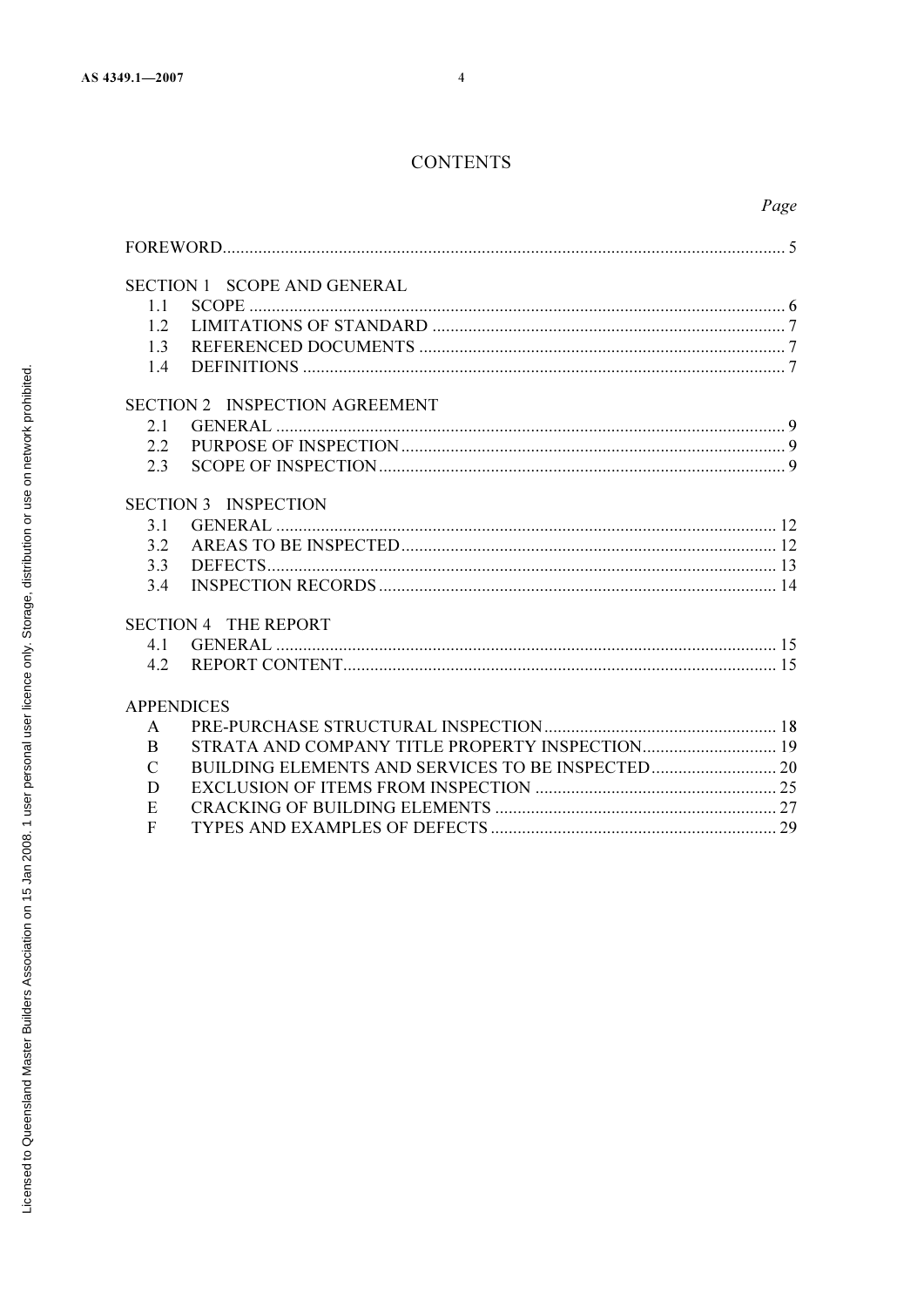# **CONTENTS**

|               |                                | Page |
|---------------|--------------------------------|------|
|               |                                |      |
|               |                                |      |
|               | SECTION 1 SCOPE AND GENERAL    |      |
| 1.1           |                                |      |
| 1.2           |                                |      |
| 1.3           |                                |      |
| 1.4           |                                |      |
|               | SECTION 2 INSPECTION AGREEMENT |      |
| 2.1           |                                |      |
| 2.2           |                                |      |
| 2.3           |                                |      |
|               | <b>SECTION 3 INSPECTION</b>    |      |
| 3.1           |                                |      |
| 3.2           |                                |      |
| 3.3           |                                |      |
| 3.4           |                                |      |
|               | <b>SECTION 4 THE REPORT</b>    |      |
| 4.1           |                                |      |
|               |                                |      |
|               | <b>APPENDICES</b>              |      |
| $\mathbf{A}$  |                                |      |
| <sub>B</sub>  |                                |      |
| $\mathcal{C}$ |                                |      |
| D             |                                |      |
| E             |                                |      |
| $\mathbf{F}$  |                                |      |
|               |                                |      |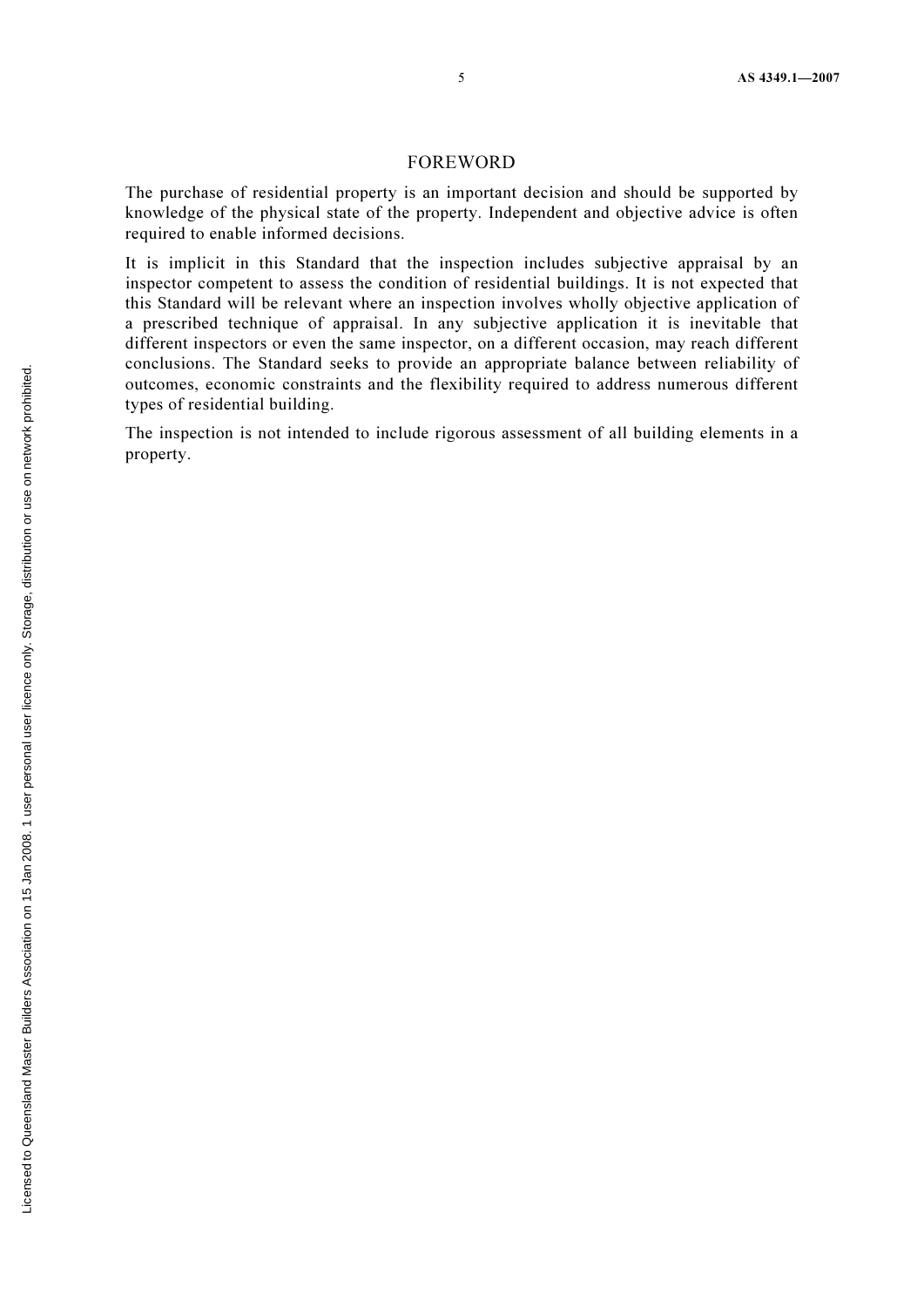#### FOREWORD

The purchase of residential property is an important decision and should be supported by knowledge of the physical state of the property. Independent and objective advice is often required to enable informed decisions.

It is implicit in this Standard that the inspection includes subjective appraisal by an inspector competent to assess the condition of residential buildings. It is not expected that this Standard will be relevant where an inspection involves wholly objective application of a prescribed technique of appraisal. In any subjective application it is inevitable that different inspectors or even the same inspector, on a different occasion, may reach different conclusions. The Standard seeks to provide an appropriate balance between reliability of outcomes, economic constraints and the flexibility required to address numerous different types of residential building.

The inspection is not intended to include rigorous assessment of all building elements in a property.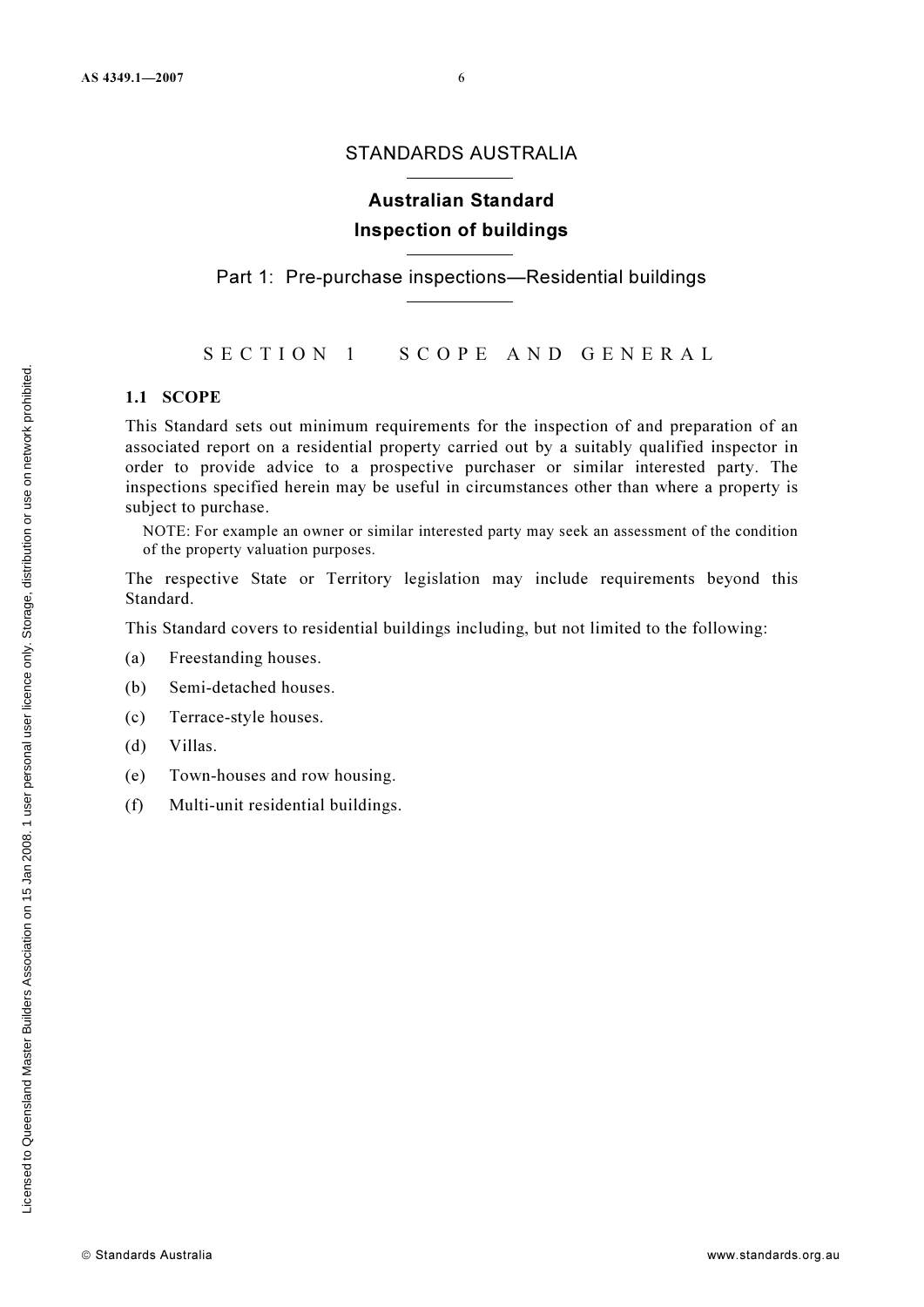#### STANDARDS AUSTRALIA

# Australian Standard Inspection of buildings

Part 1: Pre-purchase inspections—Residential buildings

#### SECTION 1 SCOPE AND GENERAL

#### 1.1 SCOPE

This Standard sets out minimum requirements for the inspection of and preparation of an associated report on a residential property carried out by a suitably qualified inspector in order to provide advice to a prospective purchaser or similar interested party. The inspections specified herein may be useful in circumstances other than where a property is subject to purchase.

NOTE: For example an owner or similar interested party may seek an assessment of the condition of the property valuation purposes.

The respective State or Territory legislation may include requirements beyond this Standard.

This Standard covers to residential buildings including, but not limited to the following:

- (a) Freestanding houses.
- (b) Semi-detached houses.
- (c) Terrace-style houses.
- (d) Villas.
- (e) Town-houses and row housing.
- (f) Multi-unit residential buildings.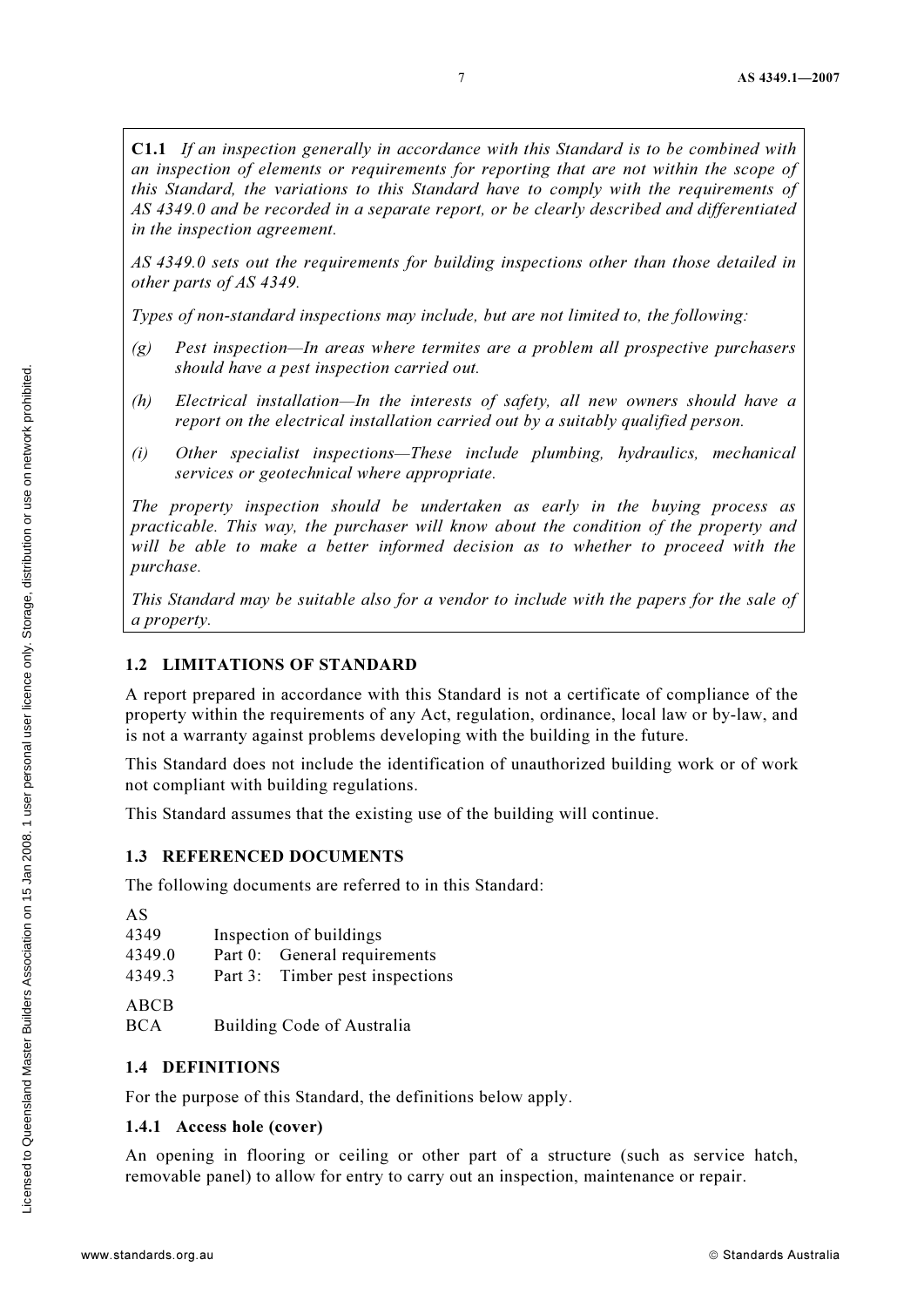C1.1 If an inspection generally in accordance with this Standard is to be combined with an inspection of elements or requirements for reporting that are not within the scope of this Standard, the variations to this Standard have to comply with the requirements of AS 4349.0 and be recorded in a separate report, or be clearly described and differentiated in the inspection agreement.

AS 4349.0 sets out the requirements for building inspections other than those detailed in other parts of AS 4349.

Types of non-standard inspections may include, but are not limited to, the following:

- $(g)$  Pest inspection—In areas where termites are a problem all prospective purchasers should have a pest inspection carried out.
- (h) Electrical installation—In the interests of safety, all new owners should have a report on the electrical installation carried out by a suitably qualified person.
- (i) Other specialist inspections—These include plumbing, hydraulics, mechanical services or geotechnical where appropriate.

The property inspection should be undertaken as early in the buying process as practicable. This way, the purchaser will know about the condition of the property and will be able to make a better informed decision as to whether to proceed with the purchase.

This Standard may be suitable also for a vendor to include with the papers for the sale of a property.

#### 1.2 LIMITATIONS OF STANDARD

A report prepared in accordance with this Standard is not a certificate of compliance of the property within the requirements of any Act, regulation, ordinance, local law or by-law, and is not a warranty against problems developing with the building in the future.

This Standard does not include the identification of unauthorized building work or of work not compliant with building regulations.

This Standard assumes that the existing use of the building will continue.

#### 1.3 REFERENCED DOCUMENTS

The following documents are referred to in this Standard:

| AS     |                                 |
|--------|---------------------------------|
| 4349   | Inspection of buildings         |
| 4349.0 | Part 0: General requirements    |
| 4349.3 | Part 3: Timber pest inspections |
| ABCB   |                                 |

BCA Building Code of Australia

#### 1.4 DEFINITIONS

For the purpose of this Standard, the definitions below apply.

#### 1.4.1 Access hole (cover)

An opening in flooring or ceiling or other part of a structure (such as service hatch, removable panel) to allow for entry to carry out an inspection, maintenance or repair.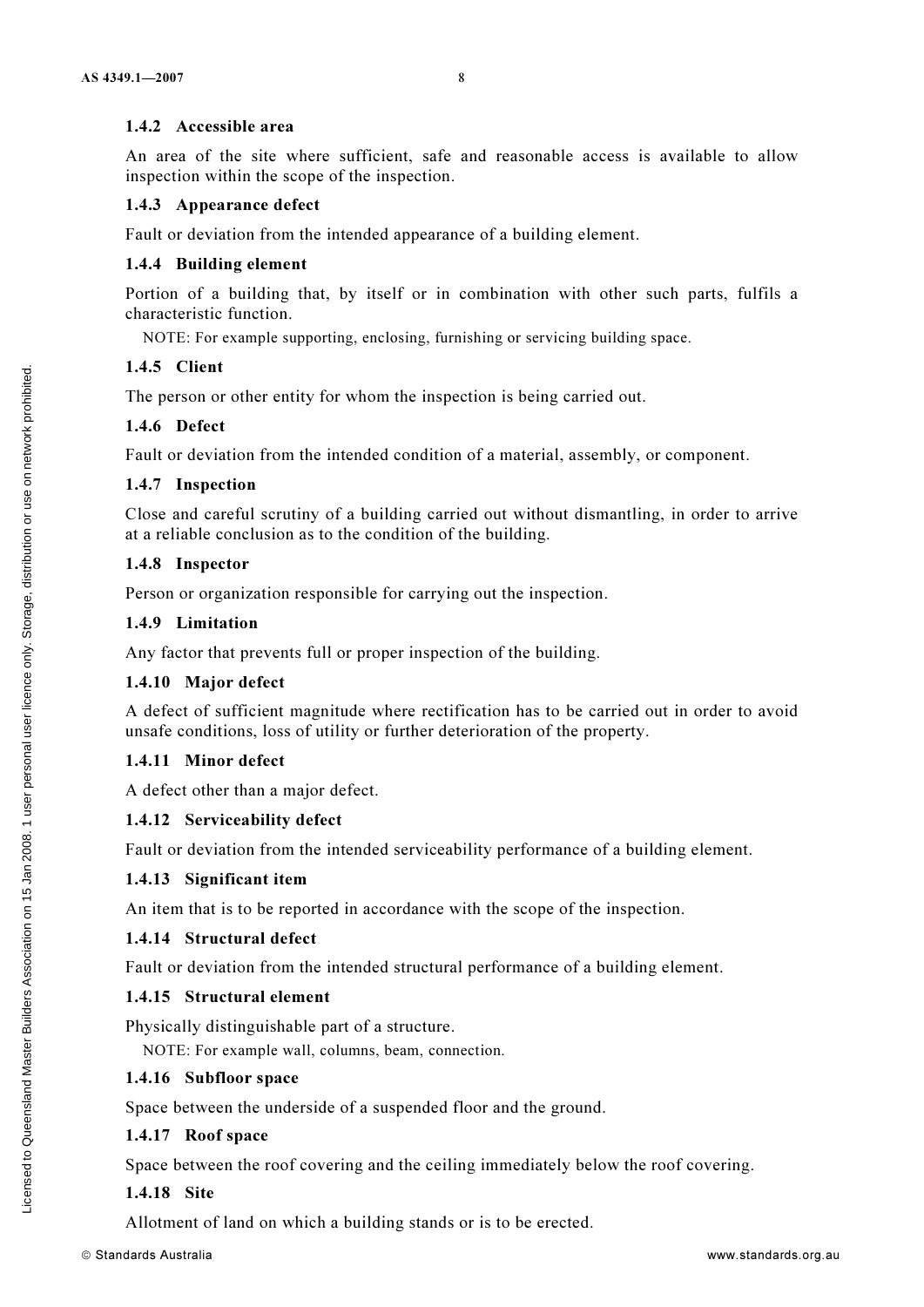#### 1.4.2 Accessible area

An area of the site where sufficient, safe and reasonable access is available to allow inspection within the scope of the inspection.

#### 1.4.3 Appearance defect

Fault or deviation from the intended appearance of a building element.

#### 1.4.4 Building element

Portion of a building that, by itself or in combination with other such parts, fulfils a characteristic function.

NOTE: For example supporting, enclosing, furnishing or servicing building space.

#### 1.4.5 Client

The person or other entity for whom the inspection is being carried out.

#### 1.4.6 Defect

Fault or deviation from the intended condition of a material, assembly, or component.

#### 1.4.7 Inspection

Close and careful scrutiny of a building carried out without dismantling, in order to arrive at a reliable conclusion as to the condition of the building.

#### 1.4.8 Inspector

Person or organization responsible for carrying out the inspection.

#### 1.4.9 Limitation

Any factor that prevents full or proper inspection of the building.

#### 1.4.10 Major defect

A defect of sufficient magnitude where rectification has to be carried out in order to avoid unsafe conditions, loss of utility or further deterioration of the property.

#### 1.4.11 Minor defect

A defect other than a major defect.

#### 1.4.12 Serviceability defect

Fault or deviation from the intended serviceability performance of a building element.

#### 1.4.13 Significant item

An item that is to be reported in accordance with the scope of the inspection.

#### 1.4.14 Structural defect

Fault or deviation from the intended structural performance of a building element.

#### 1.4.15 Structural element

Physically distinguishable part of a structure.

NOTE: For example wall, columns, beam, connection.

## 1.4.16 Subfloor space

Space between the underside of a suspended floor and the ground.

#### 1.4.17 Roof space

Space between the roof covering and the ceiling immediately below the roof covering.

#### 1.4.18 Site

Allotment of land on which a building stands or is to be erected.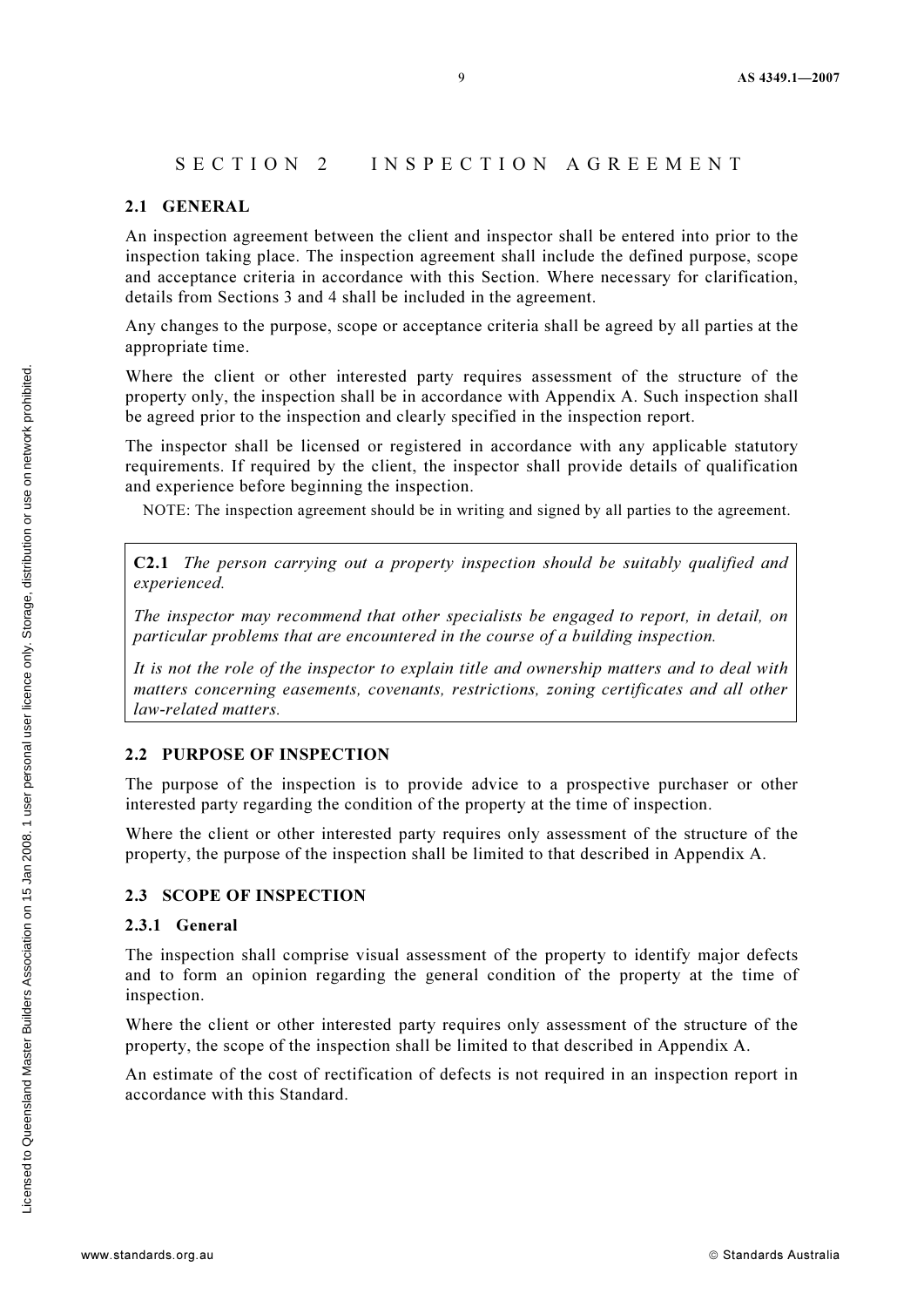#### SECTION 2 INSPECTION AGREEMENT

#### 2.1 GENERAL

An inspection agreement between the client and inspector shall be entered into prior to the inspection taking place. The inspection agreement shall include the defined purpose, scope and acceptance criteria in accordance with this Section. Where necessary for clarification, details from Sections 3 and 4 shall be included in the agreement.

Any changes to the purpose, scope or acceptance criteria shall be agreed by all parties at the appropriate time.

Where the client or other interested party requires assessment of the structure of the property only, the inspection shall be in accordance with Appendix A. Such inspection shall be agreed prior to the inspection and clearly specified in the inspection report.

The inspector shall be licensed or registered in accordance with any applicable statutory requirements. If required by the client, the inspector shall provide details of qualification and experience before beginning the inspection.

NOTE: The inspection agreement should be in writing and signed by all parties to the agreement.

C2.1 The person carrying out a property inspection should be suitably qualified and experienced.

The inspector may recommend that other specialists be engaged to report, in detail, on particular problems that are encountered in the course of a building inspection.

It is not the role of the inspector to explain title and ownership matters and to deal with matters concerning easements, covenants, restrictions, zoning certificates and all other law-related matters.

#### 2.2 PURPOSE OF INSPECTION

The purpose of the inspection is to provide advice to a prospective purchaser or other interested party regarding the condition of the property at the time of inspection.

Where the client or other interested party requires only assessment of the structure of the property, the purpose of the inspection shall be limited to that described in Appendix A.

#### 2.3 SCOPE OF INSPECTION

#### 2.3.1 General

The inspection shall comprise visual assessment of the property to identify major defects and to form an opinion regarding the general condition of the property at the time of inspection.

Where the client or other interested party requires only assessment of the structure of the property, the scope of the inspection shall be limited to that described in Appendix A.

An estimate of the cost of rectification of defects is not required in an inspection report in accordance with this Standard.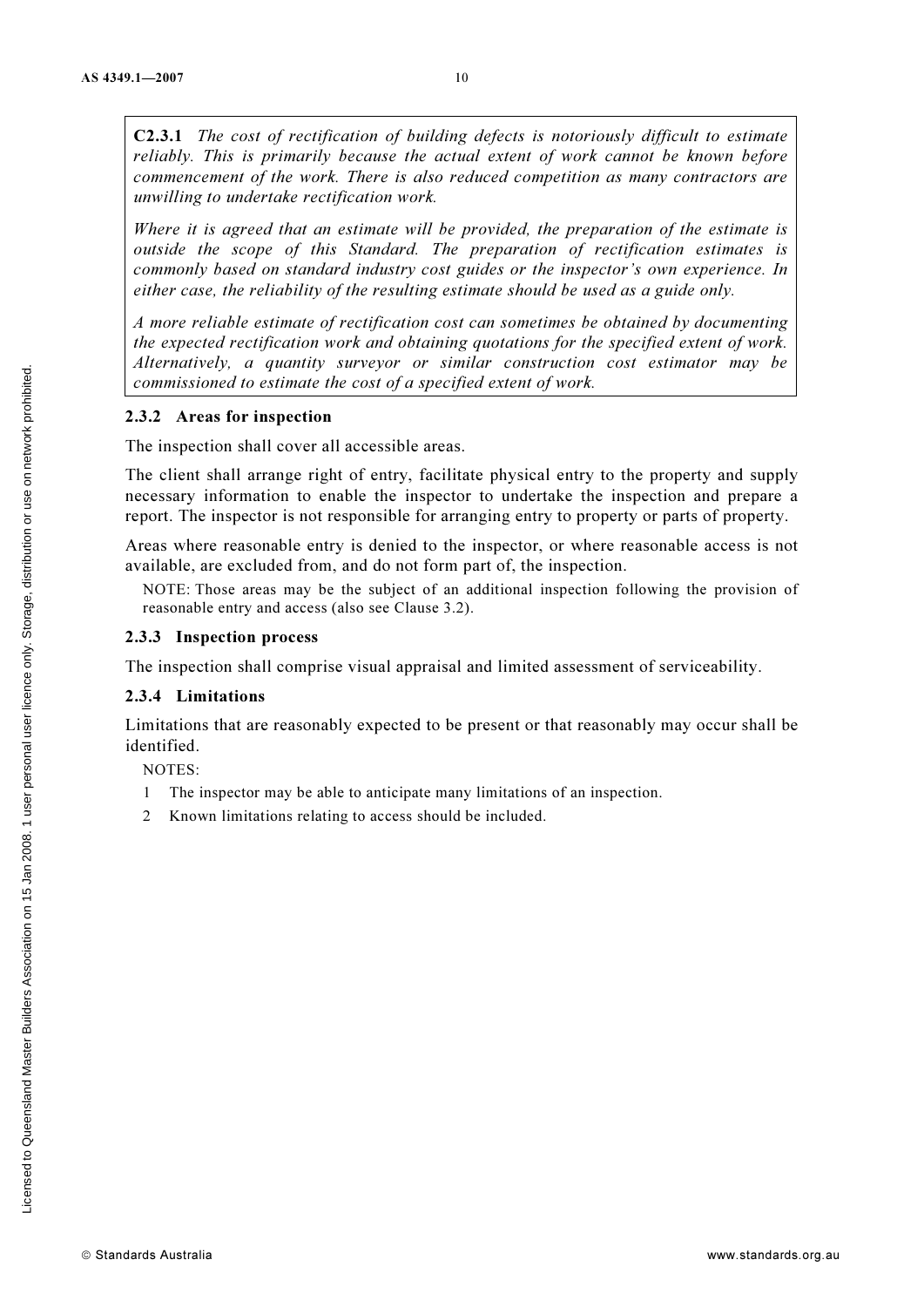C2.3.1 The cost of rectification of building defects is notoriously difficult to estimate reliably. This is primarily because the actual extent of work cannot be known before commencement of the work. There is also reduced competition as many contractors are unwilling to undertake rectification work.

Where it is agreed that an estimate will be provided, the preparation of the estimate is outside the scope of this Standard. The preparation of rectification estimates is commonly based on standard industry cost guides or the inspector's own experience. In either case, the reliability of the resulting estimate should be used as a guide only.

A more reliable estimate of rectification cost can sometimes be obtained by documenting the expected rectification work and obtaining quotations for the specified extent of work. Alternatively, a quantity surveyor or similar construction cost estimator may be commissioned to estimate the cost of a specified extent of work.

#### 2.3.2 Areas for inspection

The inspection shall cover all accessible areas.

The client shall arrange right of entry, facilitate physical entry to the property and supply necessary information to enable the inspector to undertake the inspection and prepare a report. The inspector is not responsible for arranging entry to property or parts of property.

Areas where reasonable entry is denied to the inspector, or where reasonable access is not available, are excluded from, and do not form part of, the inspection.

NOTE: Those areas may be the subject of an additional inspection following the provision of reasonable entry and access (also see Clause 3.2).

#### 2.3.3 Inspection process

The inspection shall comprise visual appraisal and limited assessment of serviceability.

#### 2.3.4 Limitations

Limitations that are reasonably expected to be present or that reasonably may occur shall be identified.

NOTES:

- 1 The inspector may be able to anticipate many limitations of an inspection.
- 2 Known limitations relating to access should be included.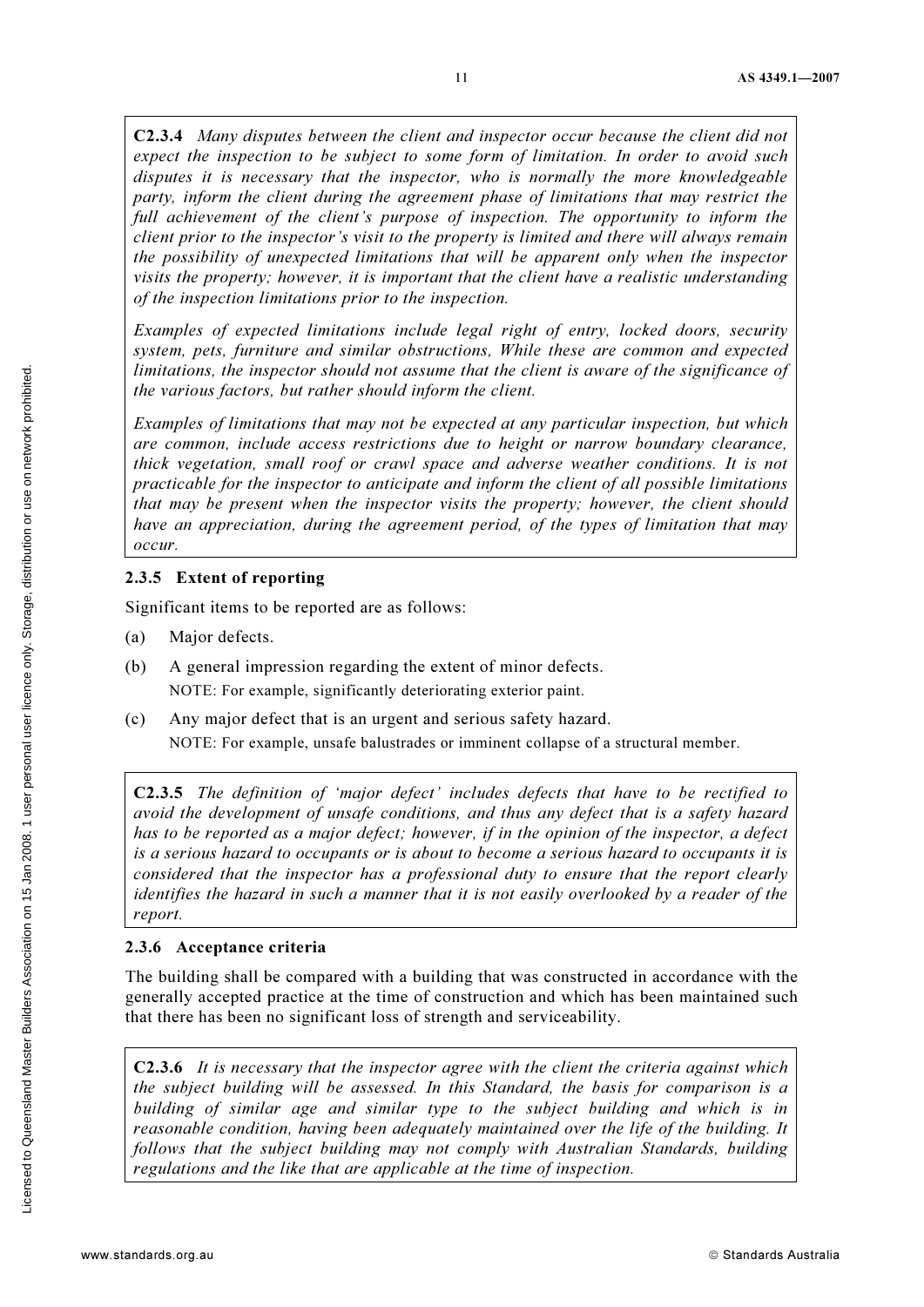C2.3.4 Many disputes between the client and inspector occur because the client did not expect the inspection to be subject to some form of limitation. In order to avoid such disputes it is necessary that the inspector, who is normally the more knowledgeable party, inform the client during the agreement phase of limitations that may restrict the full achievement of the client's purpose of inspection. The opportunity to inform the client prior to the inspector's visit to the property is limited and there will always remain the possibility of unexpected limitations that will be apparent only when the inspector visits the property; however, it is important that the client have a realistic understanding of the inspection limitations prior to the inspection.

Examples of expected limitations include legal right of entry, locked doors, security system, pets, furniture and similar obstructions, While these are common and expected limitations, the inspector should not assume that the client is aware of the significance of the various factors, but rather should inform the client.

Examples of limitations that may not be expected at any particular inspection, but which are common, include access restrictions due to height or narrow boundary clearance, thick vegetation, small roof or crawl space and adverse weather conditions. It is not practicable for the inspector to anticipate and inform the client of all possible limitations that may be present when the inspector visits the property; however, the client should have an appreciation, during the agreement period, of the types of limitation that may occur.

#### 2.3.5 Extent of reporting

Significant items to be reported are as follows:

- (a) Major defects.
- (b) A general impression regarding the extent of minor defects. NOTE: For example, significantly deteriorating exterior paint.
- (c) Any major defect that is an urgent and serious safety hazard. NOTE: For example, unsafe balustrades or imminent collapse of a structural member.

C2.3.5 The definition of 'major defect' includes defects that have to be rectified to avoid the development of unsafe conditions, and thus any defect that is a safety hazard has to be reported as a major defect; however, if in the opinion of the inspector, a defect is a serious hazard to occupants or is about to become a serious hazard to occupants it is considered that the inspector has a professional duty to ensure that the report clearly identifies the hazard in such a manner that it is not easily overlooked by a reader of the report.

#### 2.3.6 Acceptance criteria

The building shall be compared with a building that was constructed in accordance with the generally accepted practice at the time of construction and which has been maintained such that there has been no significant loss of strength and serviceability.

C2.3.6 It is necessary that the inspector agree with the client the criteria against which the subject building will be assessed. In this Standard, the basis for comparison is a building of similar age and similar type to the subject building and which is in reasonable condition, having been adequately maintained over the life of the building. It follows that the subject building may not comply with Australian Standards, building regulations and the like that are applicable at the time of inspection.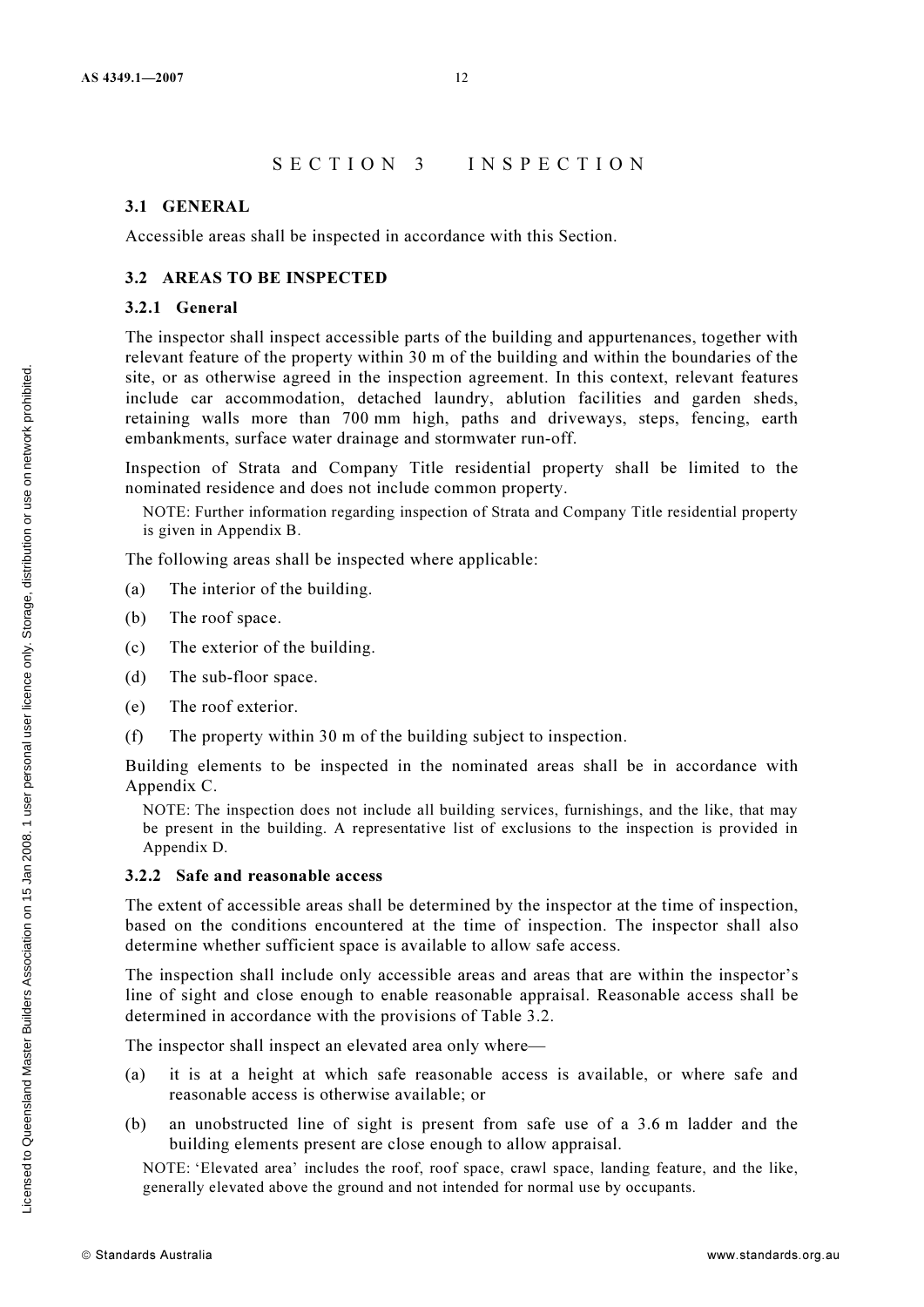# SECTION 3 INSPECTION

#### 3.1 GENERAL

Accessible areas shall be inspected in accordance with this Section.

#### 3.2 AREAS TO BE INSPECTED

#### 3.2.1 General

The inspector shall inspect accessible parts of the building and appurtenances, together with relevant feature of the property within 30 m of the building and within the boundaries of the site, or as otherwise agreed in the inspection agreement. In this context, relevant features include car accommodation, detached laundry, ablution facilities and garden sheds, retaining walls more than 700 mm high, paths and driveways, steps, fencing, earth embankments, surface water drainage and stormwater run-off.

Inspection of Strata and Company Title residential property shall be limited to the nominated residence and does not include common property.

NOTE: Further information regarding inspection of Strata and Company Title residential property is given in Appendix B.

The following areas shall be inspected where applicable:

- (a) The interior of the building.
- (b) The roof space.
- (c) The exterior of the building.
- (d) The sub-floor space.
- (e) The roof exterior.
- (f) The property within 30 m of the building subject to inspection.

Building elements to be inspected in the nominated areas shall be in accordance with Appendix C.

NOTE: The inspection does not include all building services, furnishings, and the like, that may be present in the building. A representative list of exclusions to the inspection is provided in Appendix D.

#### 3.2.2 Safe and reasonable access

The extent of accessible areas shall be determined by the inspector at the time of inspection, based on the conditions encountered at the time of inspection. The inspector shall also determine whether sufficient space is available to allow safe access.

The inspection shall include only accessible areas and areas that are within the inspector's line of sight and close enough to enable reasonable appraisal. Reasonable access shall be determined in accordance with the provisions of Table 3.2.

The inspector shall inspect an elevated area only where—

- (a) it is at a height at which safe reasonable access is available, or where safe and reasonable access is otherwise available; or
- (b) an unobstructed line of sight is present from safe use of a 3.6 m ladder and the building elements present are close enough to allow appraisal.

NOTE: 'Elevated area' includes the roof, roof space, crawl space, landing feature, and the like, generally elevated above the ground and not intended for normal use by occupants.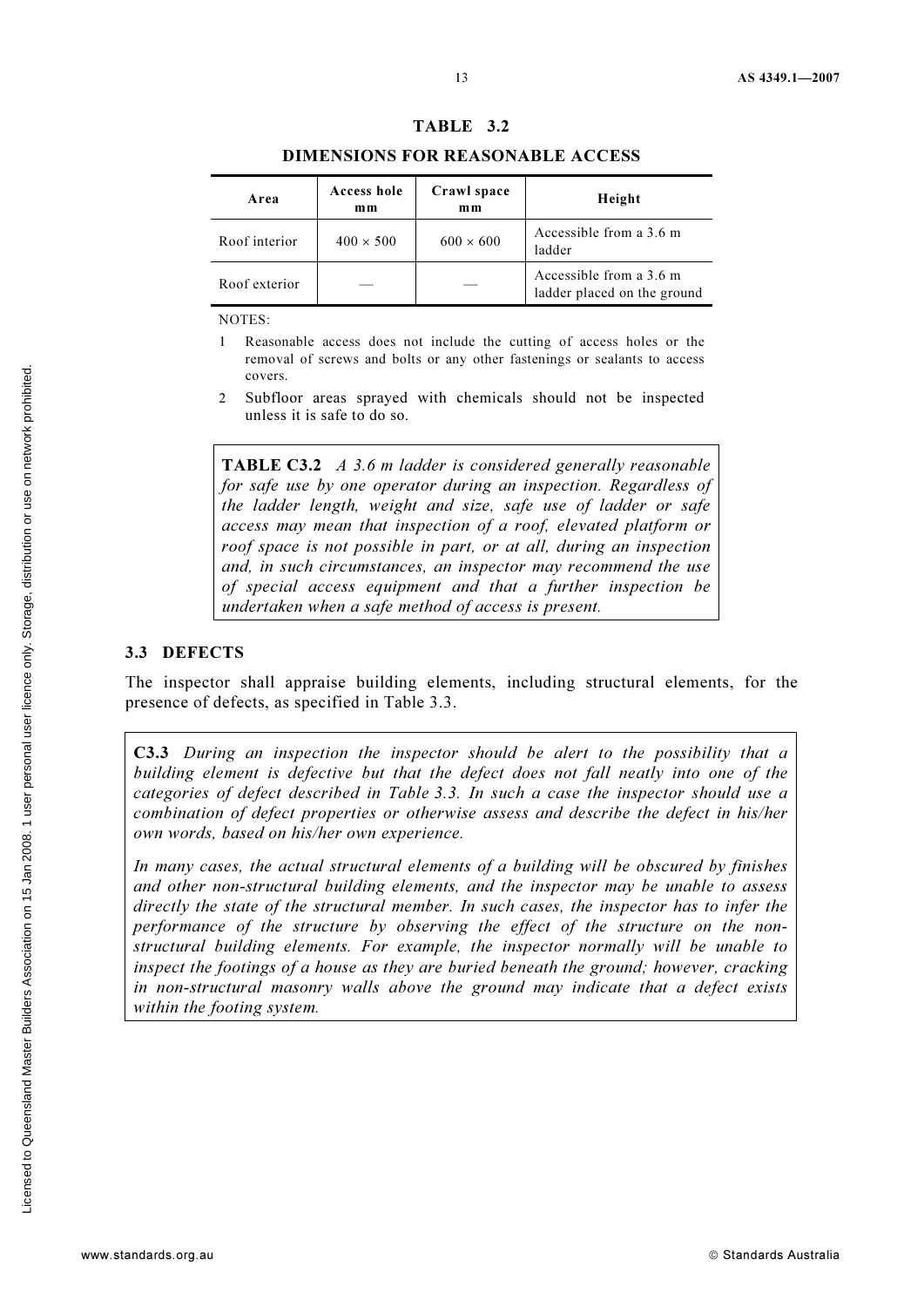#### TABLE 3.2

#### DIMENSIONS FOR REASONABLE ACCESS

| Area          | Access hole<br>mm | Crawl space<br>mm | Height                                                 |
|---------------|-------------------|-------------------|--------------------------------------------------------|
| Roof interior | $400 \times 500$  | $600 \times 600$  | Accessible from a 3.6 m<br>ladder                      |
| Roof exterior |                   |                   | Accessible from a 3.6 m<br>ladder placed on the ground |

NOTES:

- 1 Reasonable access does not include the cutting of access holes or the removal of screws and bolts or any other fastenings or sealants to access covers.
- 2 Subfloor areas sprayed with chemicals should not be inspected unless it is safe to do so.

TABLE C3.2 A 3.6 m ladder is considered generally reasonable for safe use by one operator during an inspection. Regardless of the ladder length, weight and size, safe use of ladder or safe access may mean that inspection of a roof, elevated platform or roof space is not possible in part, or at all, during an inspection and, in such circumstances, an inspector may recommend the use of special access equipment and that a further inspection be undertaken when a safe method of access is present.

#### 3.3 DEFECTS

The inspector shall appraise building elements, including structural elements, for the presence of defects, as specified in Table 3.3.

C3.3 During an inspection the inspector should be alert to the possibility that a building element is defective but that the defect does not fall neatly into one of the categories of defect described in Table 3.3. In such a case the inspector should use a combination of defect properties or otherwise assess and describe the defect in his/her own words, based on his/her own experience.

In many cases, the actual structural elements of a building will be obscured by finishes and other non-structural building elements, and the inspector may be unable to assess directly the state of the structural member. In such cases, the inspector has to infer the performance of the structure by observing the effect of the structure on the nonstructural building elements. For example, the inspector normally will be unable to inspect the footings of a house as they are buried beneath the ground; however, cracking in non-structural masonry walls above the ground may indicate that a defect exists within the footing system.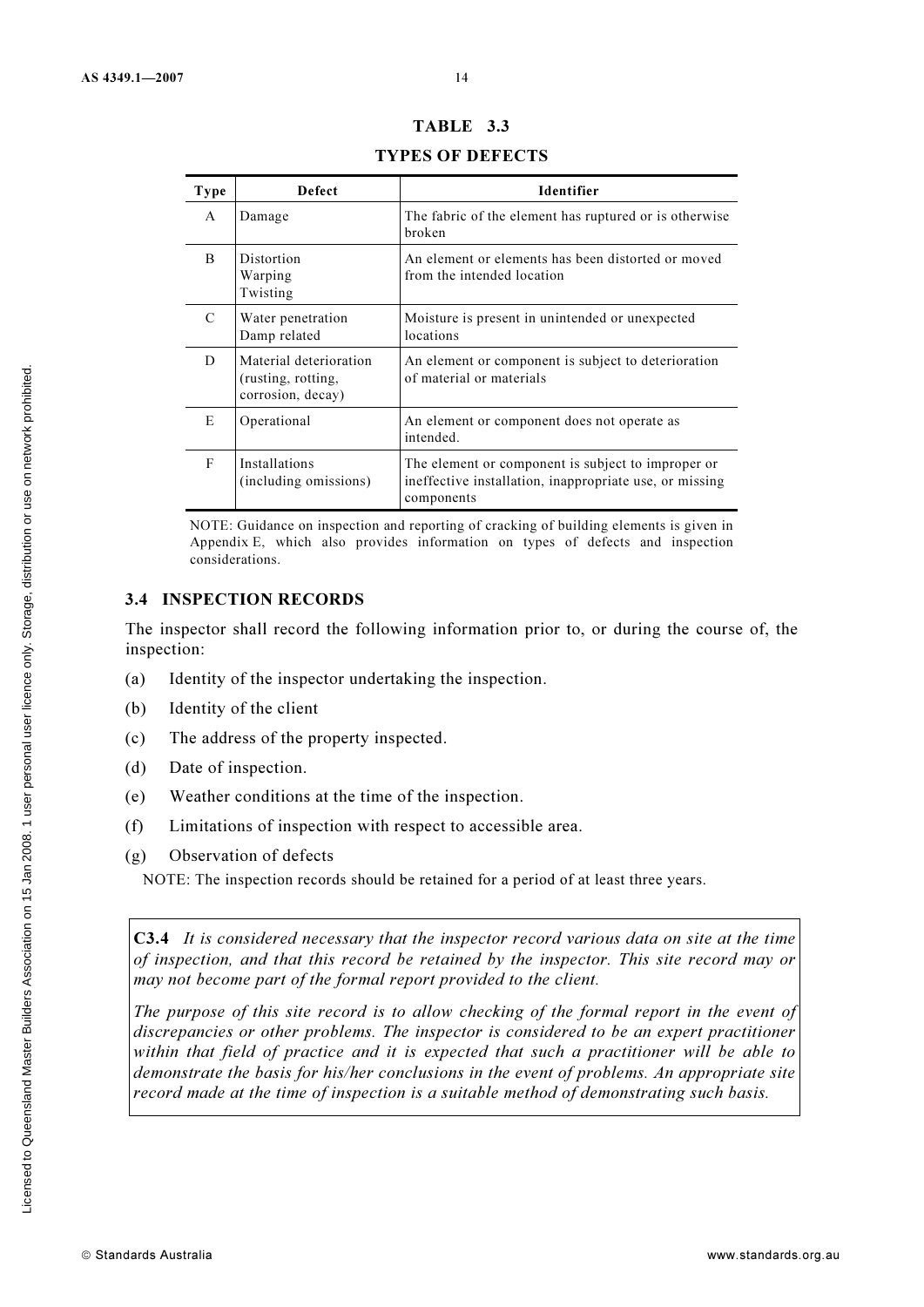| Type | <b>Defect</b>                                                     | Identifier                                                                                                                  |
|------|-------------------------------------------------------------------|-----------------------------------------------------------------------------------------------------------------------------|
| A    | Damage                                                            | The fabric of the element has ruptured or is otherwise<br>broken                                                            |
| B    | Distortion<br>Warping<br>Twisting                                 | An element or elements has been distorted or moved<br>from the intended location                                            |
| C    | Water penetration<br>Damp related                                 | Moisture is present in unintended or unexpected<br>locations                                                                |
| D    | Material deterioration<br>(rusting, rotting,<br>corrosion, decay) | An element or component is subject to deterioration<br>of material or materials                                             |
| E    | Operational                                                       | An element or component does not operate as<br>intended.                                                                    |
| F    | Installations<br>(including omissions)                            | The element or component is subject to improper or<br>ineffective installation, inappropriate use, or missing<br>components |

# TABLE 3.3

TYPES OF DEFECTS

NOTE: Guidance on inspection and reporting of cracking of building elements is given in Appendix E, which also provides information on types of defects and inspection considerations.

#### 3.4 INSPECTION RECORDS

The inspector shall record the following information prior to, or during the course of, the inspection:

- (a) Identity of the inspector undertaking the inspection.
- (b) Identity of the client
- (c) The address of the property inspected.
- (d) Date of inspection.
- (e) Weather conditions at the time of the inspection.
- (f) Limitations of inspection with respect to accessible area.
- (g) Observation of defects

NOTE: The inspection records should be retained for a period of at least three years.

C3.4 It is considered necessary that the inspector record various data on site at the time of inspection, and that this record be retained by the inspector. This site record may or may not become part of the formal report provided to the client.

The purpose of this site record is to allow checking of the formal report in the event of discrepancies or other problems. The inspector is considered to be an expert practitioner within that field of practice and it is expected that such a practitioner will be able to demonstrate the basis for his/her conclusions in the event of problems. An appropriate site record made at the time of inspection is a suitable method of demonstrating such basis.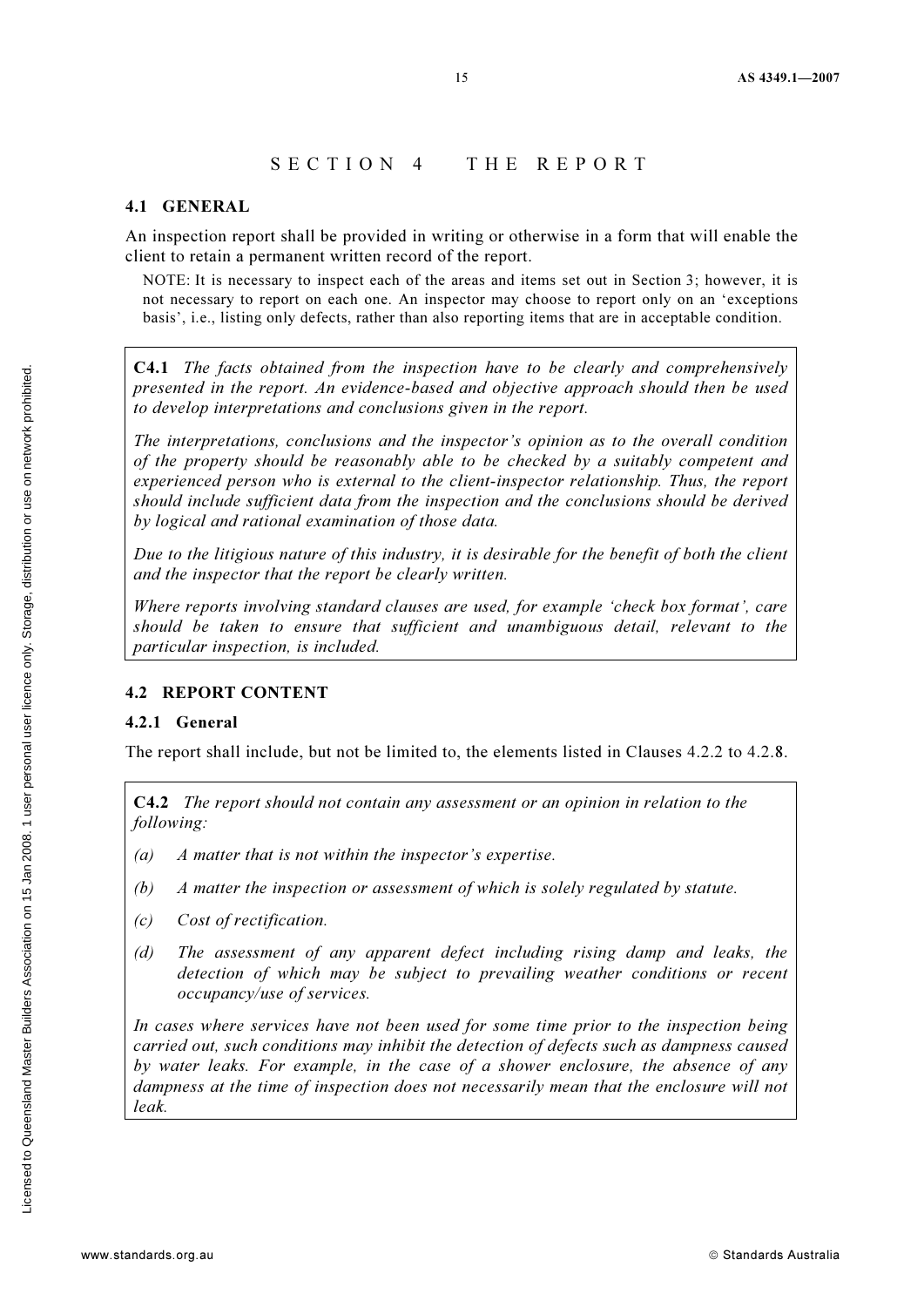#### SECTION 4 THE REPORT

#### 4.1 GENERAL

An inspection report shall be provided in writing or otherwise in a form that will enable the client to retain a permanent written record of the report.

NOTE: It is necessary to inspect each of the areas and items set out in Section 3; however, it is not necessary to report on each one. An inspector may choose to report only on an 'exceptions basis', i.e., listing only defects, rather than also reporting items that are in acceptable condition.

C4.1 The facts obtained from the inspection have to be clearly and comprehensively presented in the report. An evidence-based and objective approach should then be used to develop interpretations and conclusions given in the report.

The interpretations, conclusions and the inspector's opinion as to the overall condition of the property should be reasonably able to be checked by a suitably competent and experienced person who is external to the client-inspector relationship. Thus, the report should include sufficient data from the inspection and the conclusions should be derived by logical and rational examination of those data.

Due to the litigious nature of this industry, it is desirable for the benefit of both the client and the inspector that the report be clearly written.

Where reports involving standard clauses are used, for example 'check box format', care should be taken to ensure that sufficient and unambiguous detail, relevant to the particular inspection, is included.

#### 4.2 REPORT CONTENT

#### 4.2.1 General

The report shall include, but not be limited to, the elements listed in Clauses 4.2.2 to 4.2.8.

C4.2 The report should not contain any assessment or an opinion in relation to the following:

- (a) A matter that is not within the inspector's expertise.
- (b) A matter the inspection or assessment of which is solely regulated by statute.
- (c) Cost of rectification.
- (d) The assessment of any apparent defect including rising damp and leaks, the detection of which may be subject to prevailing weather conditions or recent occupancy/use of services.

In cases where services have not been used for some time prior to the inspection being carried out, such conditions may inhibit the detection of defects such as dampness caused by water leaks. For example, in the case of a shower enclosure, the absence of any dampness at the time of inspection does not necessarily mean that the enclosure will not leak.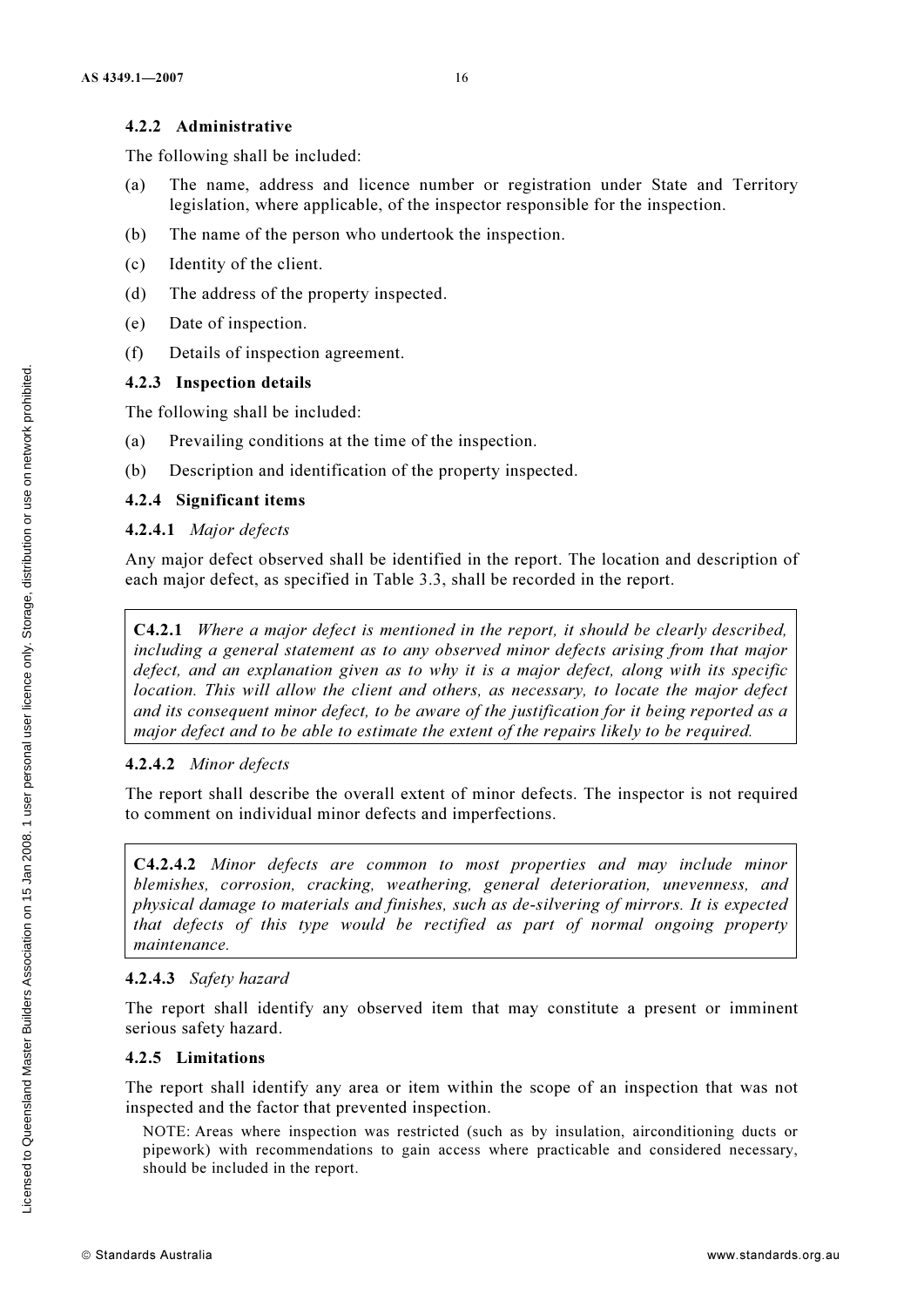#### 4.2.2 Administrative

The following shall be included:

- (a) The name, address and licence number or registration under State and Territory legislation, where applicable, of the inspector responsible for the inspection.
- (b) The name of the person who undertook the inspection.
- (c) Identity of the client.
- (d) The address of the property inspected.
- (e) Date of inspection.
- (f) Details of inspection agreement.

#### 4.2.3 Inspection details

The following shall be included:

- (a) Prevailing conditions at the time of the inspection.
- (b) Description and identification of the property inspected.

#### 4.2.4 Significant items

#### 4.2.4.1 Major defects

Any major defect observed shall be identified in the report. The location and description of each major defect, as specified in Table 3.3, shall be recorded in the report.

C4.2.1 Where a major defect is mentioned in the report, it should be clearly described, including a general statement as to any observed minor defects arising from that major defect, and an explanation given as to why it is a major defect, along with its specific location. This will allow the client and others, as necessary, to locate the major defect and its consequent minor defect, to be aware of the justification for it being reported as a major defect and to be able to estimate the extent of the repairs likely to be required.

#### 4.2.4.2 Minor defects

The report shall describe the overall extent of minor defects. The inspector is not required to comment on individual minor defects and imperfections.

C4.2.4.2 Minor defects are common to most properties and may include minor blemishes, corrosion, cracking, weathering, general deterioration, unevenness, and physical damage to materials and finishes, such as de-silvering of mirrors. It is expected that defects of this type would be rectified as part of normal ongoing property maintenance.

#### 4.2.4.3 Safety hazard

The report shall identify any observed item that may constitute a present or imminent serious safety hazard.

#### 4.2.5 Limitations

The report shall identify any area or item within the scope of an inspection that was not inspected and the factor that prevented inspection.

NOTE: Areas where inspection was restricted (such as by insulation, airconditioning ducts or pipework) with recommendations to gain access where practicable and considered necessary, should be included in the report.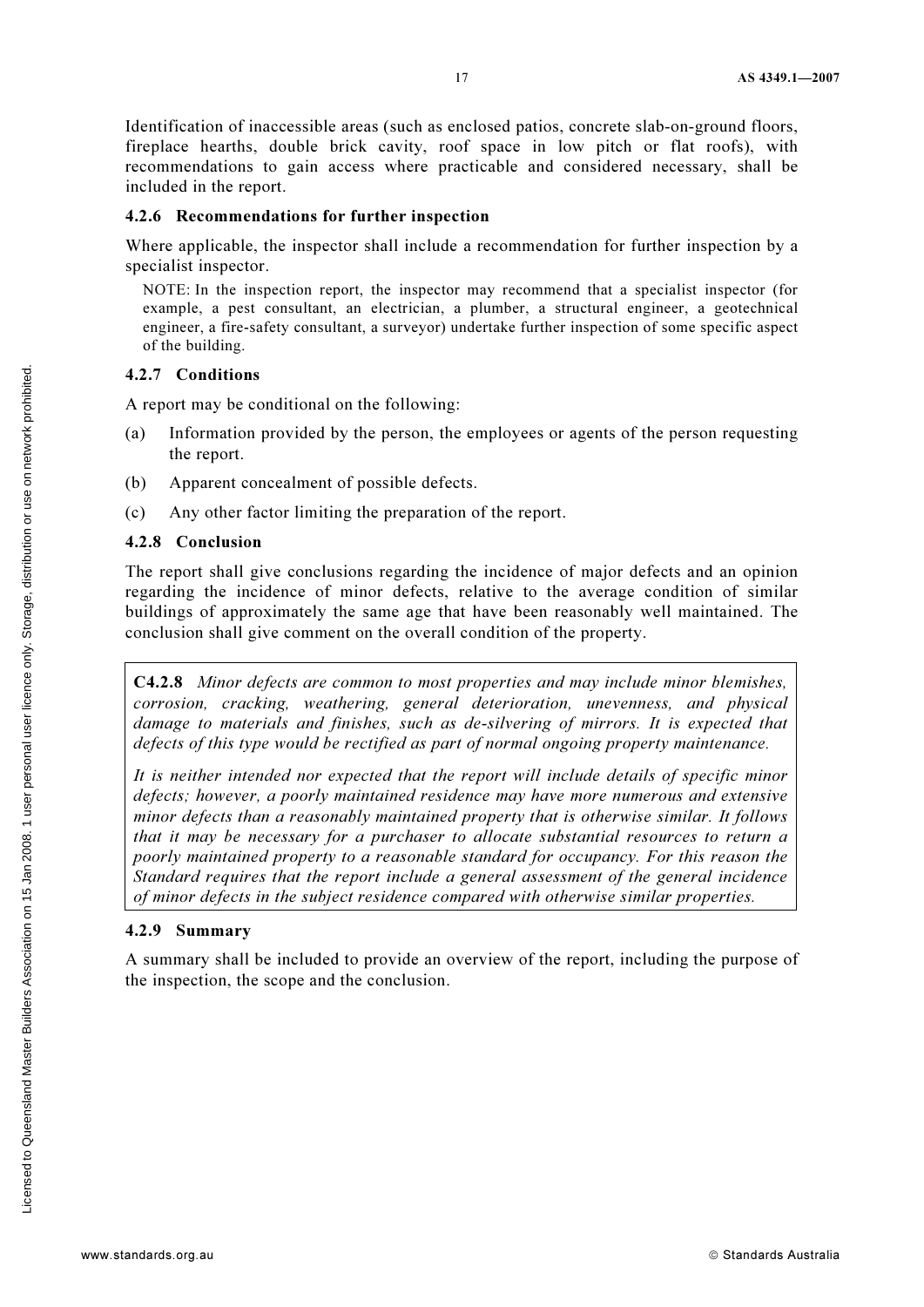Identification of inaccessible areas (such as enclosed patios, concrete slab-on-ground floors, fireplace hearths, double brick cavity, roof space in low pitch or flat roofs), with recommendations to gain access where practicable and considered necessary, shall be included in the report.

#### 4.2.6 Recommendations for further inspection

Where applicable, the inspector shall include a recommendation for further inspection by a specialist inspector.

NOTE: In the inspection report, the inspector may recommend that a specialist inspector (for example, a pest consultant, an electrician, a plumber, a structural engineer, a geotechnical engineer, a fire-safety consultant, a surveyor) undertake further inspection of some specific aspect of the building.

#### 4.2.7 Conditions

A report may be conditional on the following:

- (a) Information provided by the person, the employees or agents of the person requesting the report.
- (b) Apparent concealment of possible defects.
- (c) Any other factor limiting the preparation of the report.

#### 4.2.8 Conclusion

The report shall give conclusions regarding the incidence of major defects and an opinion regarding the incidence of minor defects, relative to the average condition of similar buildings of approximately the same age that have been reasonably well maintained. The conclusion shall give comment on the overall condition of the property.

C4.2.8 Minor defects are common to most properties and may include minor blemishes, corrosion, cracking, weathering, general deterioration, unevenness, and physical damage to materials and finishes, such as de-silvering of mirrors. It is expected that defects of this type would be rectified as part of normal ongoing property maintenance.

It is neither intended nor expected that the report will include details of specific minor defects; however, a poorly maintained residence may have more numerous and extensive minor defects than a reasonably maintained property that is otherwise similar. It follows that it may be necessary for a purchaser to allocate substantial resources to return a poorly maintained property to a reasonable standard for occupancy. For this reason the Standard requires that the report include a general assessment of the general incidence of minor defects in the subject residence compared with otherwise similar properties.

#### 4.2.9 Summary

A summary shall be included to provide an overview of the report, including the purpose of the inspection, the scope and the conclusion.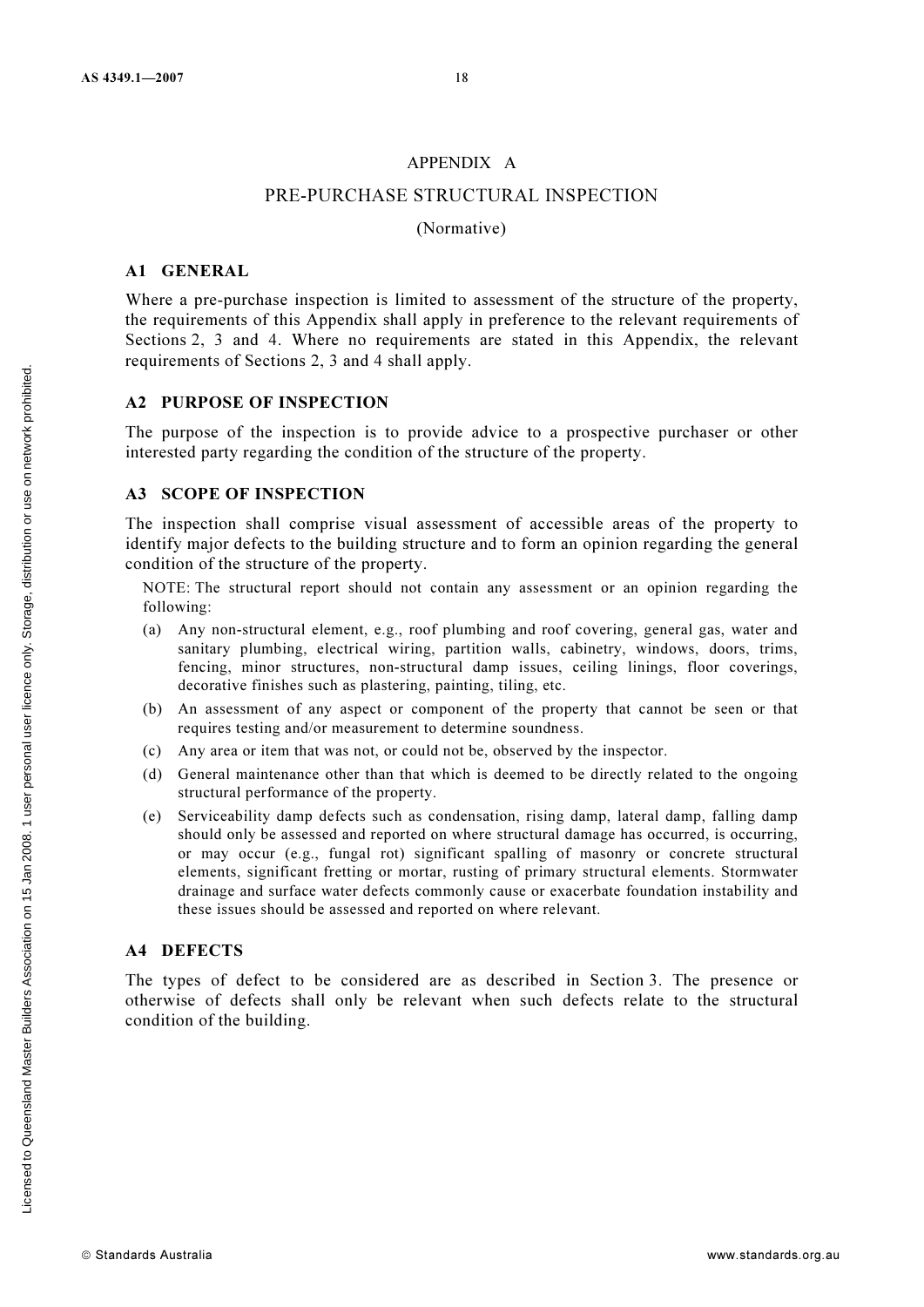#### APPENDIX A

#### PRE-PURCHASE STRUCTURAL INSPECTION

#### (Normative)

#### A1 GENERAL

Where a pre-purchase inspection is limited to assessment of the structure of the property, the requirements of this Appendix shall apply in preference to the relevant requirements of Sections 2, 3 and 4. Where no requirements are stated in this Appendix, the relevant requirements of Sections 2, 3 and 4 shall apply.

#### A2 PURPOSE OF INSPECTION

The purpose of the inspection is to provide advice to a prospective purchaser or other interested party regarding the condition of the structure of the property.

#### A3 SCOPE OF INSPECTION

The inspection shall comprise visual assessment of accessible areas of the property to identify major defects to the building structure and to form an opinion regarding the general condition of the structure of the property.

NOTE: The structural report should not contain any assessment or an opinion regarding the following:

- (a) Any non-structural element, e.g., roof plumbing and roof covering, general gas, water and sanitary plumbing, electrical wiring, partition walls, cabinetry, windows, doors, trims, fencing, minor structures, non-structural damp issues, ceiling linings, floor coverings, decorative finishes such as plastering, painting, tiling, etc.
- (b) An assessment of any aspect or component of the property that cannot be seen or that requires testing and/or measurement to determine soundness.
- (c) Any area or item that was not, or could not be, observed by the inspector.
- (d) General maintenance other than that which is deemed to be directly related to the ongoing structural performance of the property.
- (e) Serviceability damp defects such as condensation, rising damp, lateral damp, falling damp should only be assessed and reported on where structural damage has occurred, is occurring, or may occur (e.g., fungal rot) significant spalling of masonry or concrete structural elements, significant fretting or mortar, rusting of primary structural elements. Stormwater drainage and surface water defects commonly cause or exacerbate foundation instability and these issues should be assessed and reported on where relevant.

#### A4 DEFECTS

The types of defect to be considered are as described in Section 3. The presence or otherwise of defects shall only be relevant when such defects relate to the structural condition of the building.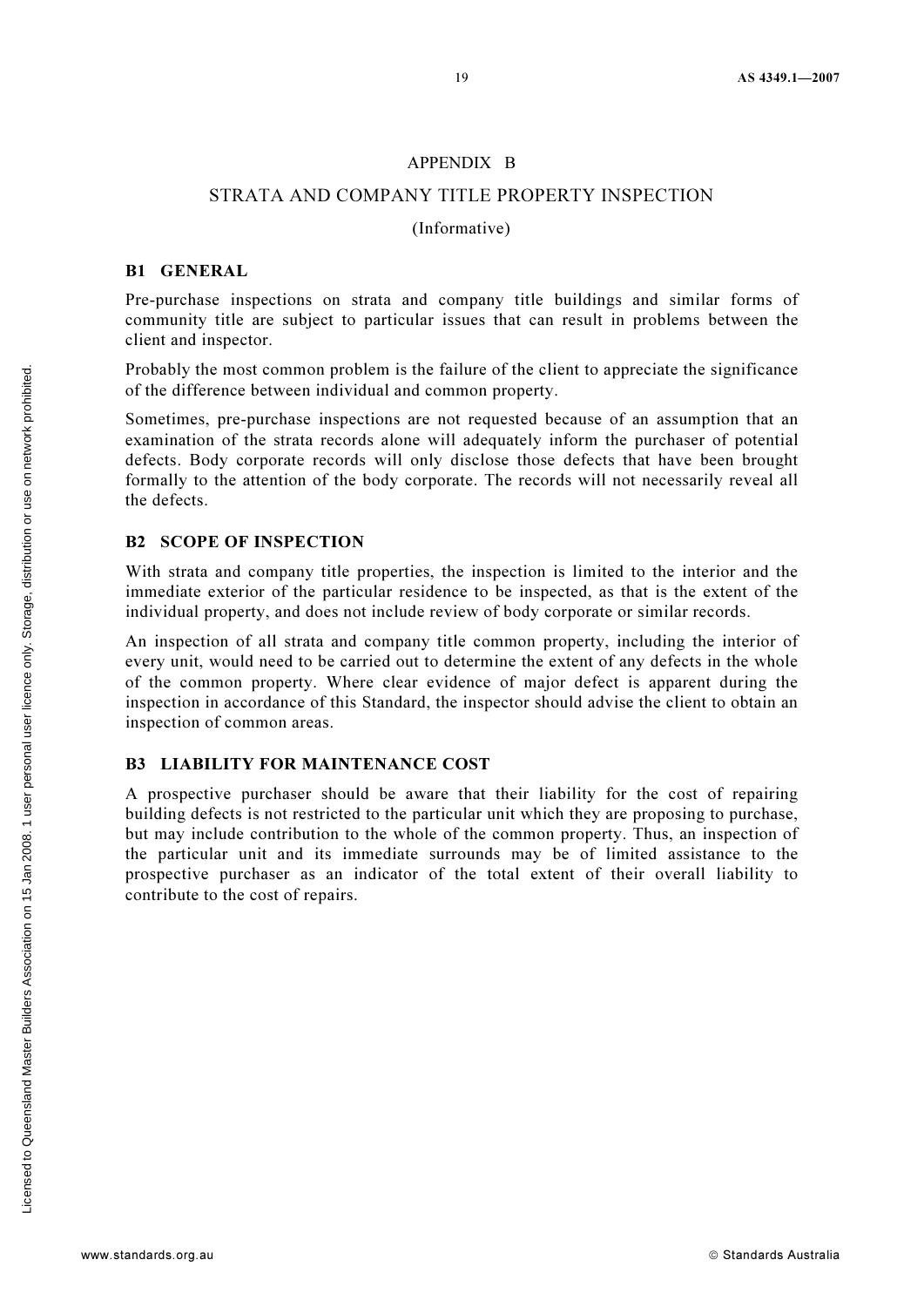#### APPENDIX B

#### STRATA AND COMPANY TITLE PROPERTY INSPECTION

#### (Informative)

#### B1 GENERAL

Pre-purchase inspections on strata and company title buildings and similar forms of community title are subject to particular issues that can result in problems between the client and inspector.

Probably the most common problem is the failure of the client to appreciate the significance of the difference between individual and common property.

Sometimes, pre-purchase inspections are not requested because of an assumption that an examination of the strata records alone will adequately inform the purchaser of potential defects. Body corporate records will only disclose those defects that have been brought formally to the attention of the body corporate. The records will not necessarily reveal all the defects.

#### B2 SCOPE OF INSPECTION

With strata and company title properties, the inspection is limited to the interior and the immediate exterior of the particular residence to be inspected, as that is the extent of the individual property, and does not include review of body corporate or similar records.

An inspection of all strata and company title common property, including the interior of every unit, would need to be carried out to determine the extent of any defects in the whole of the common property. Where clear evidence of major defect is apparent during the inspection in accordance of this Standard, the inspector should advise the client to obtain an inspection of common areas.

#### B3 LIABILITY FOR MAINTENANCE COST

A prospective purchaser should be aware that their liability for the cost of repairing building defects is not restricted to the particular unit which they are proposing to purchase, but may include contribution to the whole of the common property. Thus, an inspection of the particular unit and its immediate surrounds may be of limited assistance to the prospective purchaser as an indicator of the total extent of their overall liability to contribute to the cost of repairs.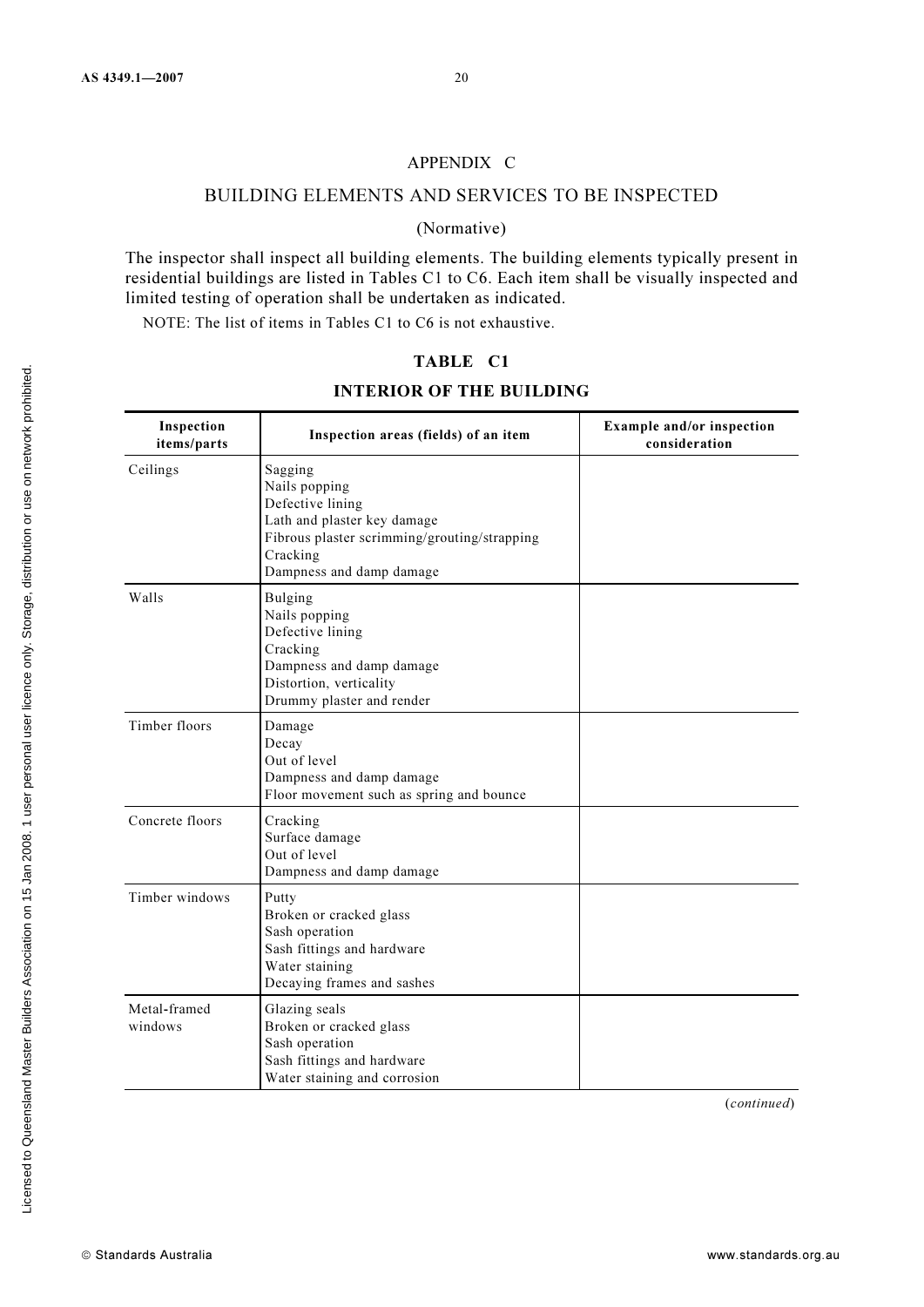#### APPENDIX C

#### BUILDING ELEMENTS AND SERVICES TO BE INSPECTED

#### (Normative)

The inspector shall inspect all building elements. The building elements typically present in residential buildings are listed in Tables C1 to C6. Each item shall be visually inspected and limited testing of operation shall be undertaken as indicated.

NOTE: The list of items in Tables C1 to C6 is not exhaustive.

#### TABLE C1

#### INTERIOR OF THE BUILDING

| Inspection<br>items/parts | Inspection areas (fields) of an item                                                                                                                                | Example and/or inspection<br>consideration |
|---------------------------|---------------------------------------------------------------------------------------------------------------------------------------------------------------------|--------------------------------------------|
| Ceilings                  | Sagging<br>Nails popping<br>Defective lining<br>Lath and plaster key damage<br>Fibrous plaster scrimming/grouting/strapping<br>Cracking<br>Dampness and damp damage |                                            |
| Walls                     | <b>Bulging</b><br>Nails popping<br>Defective lining<br>Cracking<br>Dampness and damp damage<br>Distortion, verticality<br>Drummy plaster and render                 |                                            |
| Timber floors             | Damage<br>Decay<br>Out of level<br>Dampness and damp damage<br>Floor movement such as spring and bounce                                                             |                                            |
| Concrete floors           | Cracking<br>Surface damage<br>Out of level<br>Dampness and damp damage                                                                                              |                                            |
| Timber windows            | Putty<br>Broken or cracked glass<br>Sash operation<br>Sash fittings and hardware<br>Water staining<br>Decaying frames and sashes                                    |                                            |
| Metal-framed<br>windows   | Glazing seals<br>Broken or cracked glass<br>Sash operation<br>Sash fittings and hardware<br>Water staining and corrosion                                            |                                            |

(continued)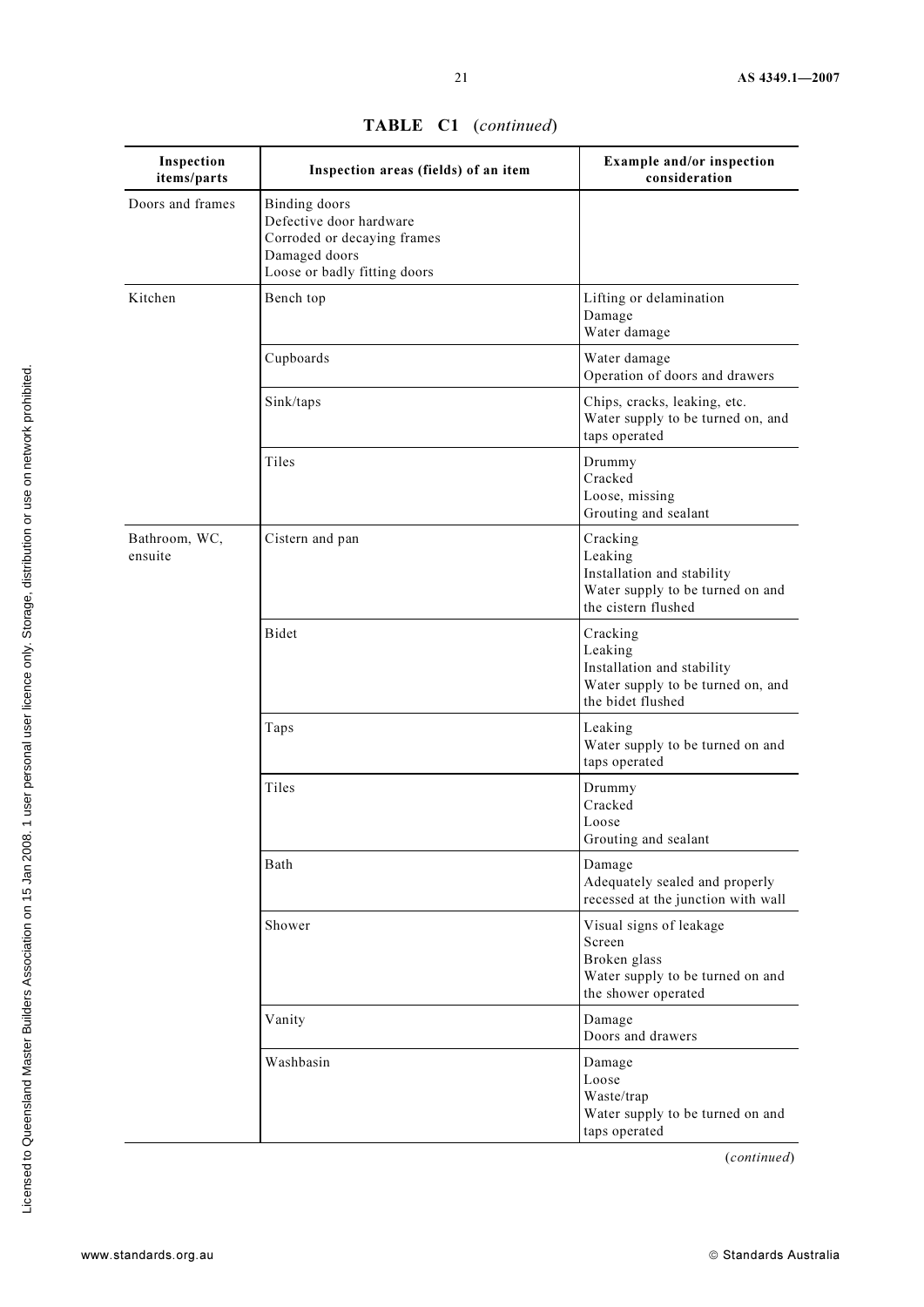| Inspection<br>items/parts | Inspection areas (fields) of an item                                                                                            | Example and/or inspection<br>consideration                                                                   |
|---------------------------|---------------------------------------------------------------------------------------------------------------------------------|--------------------------------------------------------------------------------------------------------------|
| Doors and frames          | <b>Binding</b> doors<br>Defective door hardware<br>Corroded or decaying frames<br>Damaged doors<br>Loose or badly fitting doors |                                                                                                              |
| Kitchen                   | Bench top                                                                                                                       | Lifting or delamination<br>Damage<br>Water damage                                                            |
|                           | Cupboards                                                                                                                       | Water damage<br>Operation of doors and drawers                                                               |
|                           | Sink/taps                                                                                                                       | Chips, cracks, leaking, etc.<br>Water supply to be turned on, and<br>taps operated                           |
|                           | Tiles                                                                                                                           | Drummy<br>Cracked<br>Loose, missing<br>Grouting and sealant                                                  |
| Bathroom, WC,<br>ensuite  | Cistern and pan                                                                                                                 | Cracking<br>Leaking<br>Installation and stability<br>Water supply to be turned on and<br>the cistern flushed |
|                           | Bidet                                                                                                                           | Cracking<br>Leaking<br>Installation and stability<br>Water supply to be turned on, and<br>the bidet flushed  |
|                           | Taps                                                                                                                            | Leaking<br>Water supply to be turned on and<br>taps operated                                                 |
|                           | Tiles                                                                                                                           | Drummy<br>Cracked<br>Loose<br>Grouting and sealant                                                           |
|                           | Bath                                                                                                                            | Damage<br>Adequately sealed and properly<br>recessed at the junction with wall                               |
|                           | Shower                                                                                                                          | Visual signs of leakage<br>Screen<br>Broken glass<br>Water supply to be turned on and<br>the shower operated |
|                           | Vanity                                                                                                                          | Damage<br>Doors and drawers                                                                                  |
|                           | Washbasin                                                                                                                       | Damage<br>Loose<br>Waste/trap<br>Water supply to be turned on and<br>taps operated                           |

TABLE C1 (continued)

(continued)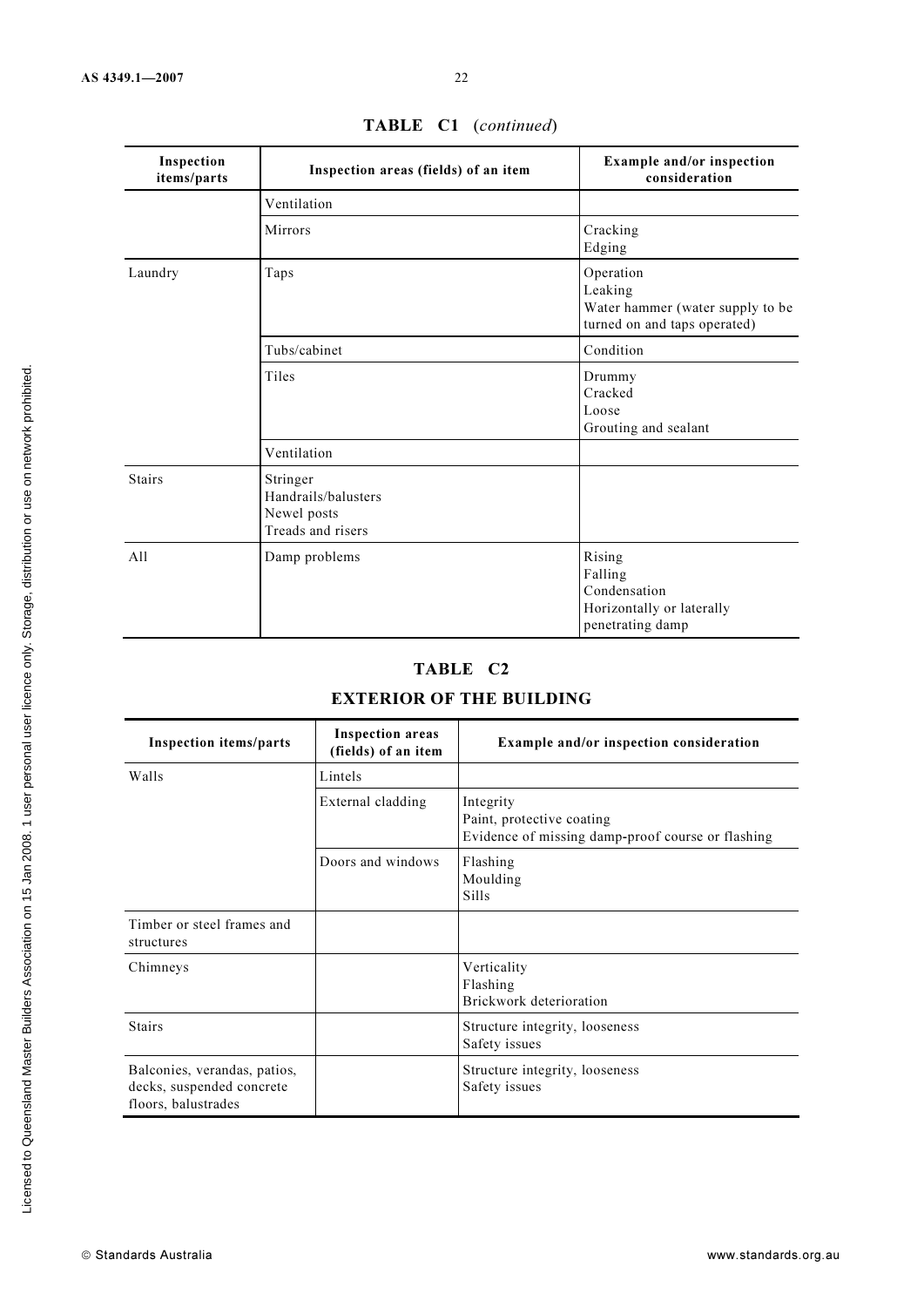| Inspection<br>items/parts | Inspection areas (fields) of an item                                | Example and/or inspection<br>consideration                                               |
|---------------------------|---------------------------------------------------------------------|------------------------------------------------------------------------------------------|
|                           | Ventilation                                                         |                                                                                          |
|                           | <b>Mirrors</b>                                                      | Cracking<br>Edging                                                                       |
| Laundry                   | Taps                                                                | Operation<br>Leaking<br>Water hammer (water supply to be<br>turned on and taps operated) |
|                           | Tubs/cabinet                                                        | Condition                                                                                |
|                           | Tiles                                                               | Drummy<br>Cracked<br>Loose<br>Grouting and sealant                                       |
|                           | Ventilation                                                         |                                                                                          |
| <b>Stairs</b>             | Stringer<br>Handrails/balusters<br>Newel posts<br>Treads and risers |                                                                                          |
| All                       | Damp problems                                                       | Rising<br>Falling<br>Condensation<br>Horizontally or laterally<br>penetrating damp       |

# TABLE C1 (continued)

# TABLE C2

# EXTERIOR OF THE BUILDING

| <b>Inspection items/parts</b>                                                    | <b>Inspection areas</b><br>(fields) of an item | <b>Example and/or inspection consideration</b>                                              |
|----------------------------------------------------------------------------------|------------------------------------------------|---------------------------------------------------------------------------------------------|
| Walls                                                                            | Lintels                                        |                                                                                             |
|                                                                                  | External cladding                              | Integrity<br>Paint, protective coating<br>Evidence of missing damp-proof course or flashing |
|                                                                                  | Doors and windows                              | Flashing<br>Moulding<br><b>Sills</b>                                                        |
| Timber or steel frames and<br>structures                                         |                                                |                                                                                             |
| Chimneys                                                                         |                                                | Verticality<br>Flashing<br>Brickwork deterioration                                          |
| <b>Stairs</b>                                                                    |                                                | Structure integrity, looseness<br>Safety issues                                             |
| Balconies, verandas, patios,<br>decks, suspended concrete<br>floors, balustrades |                                                | Structure integrity, looseness<br>Safety issues                                             |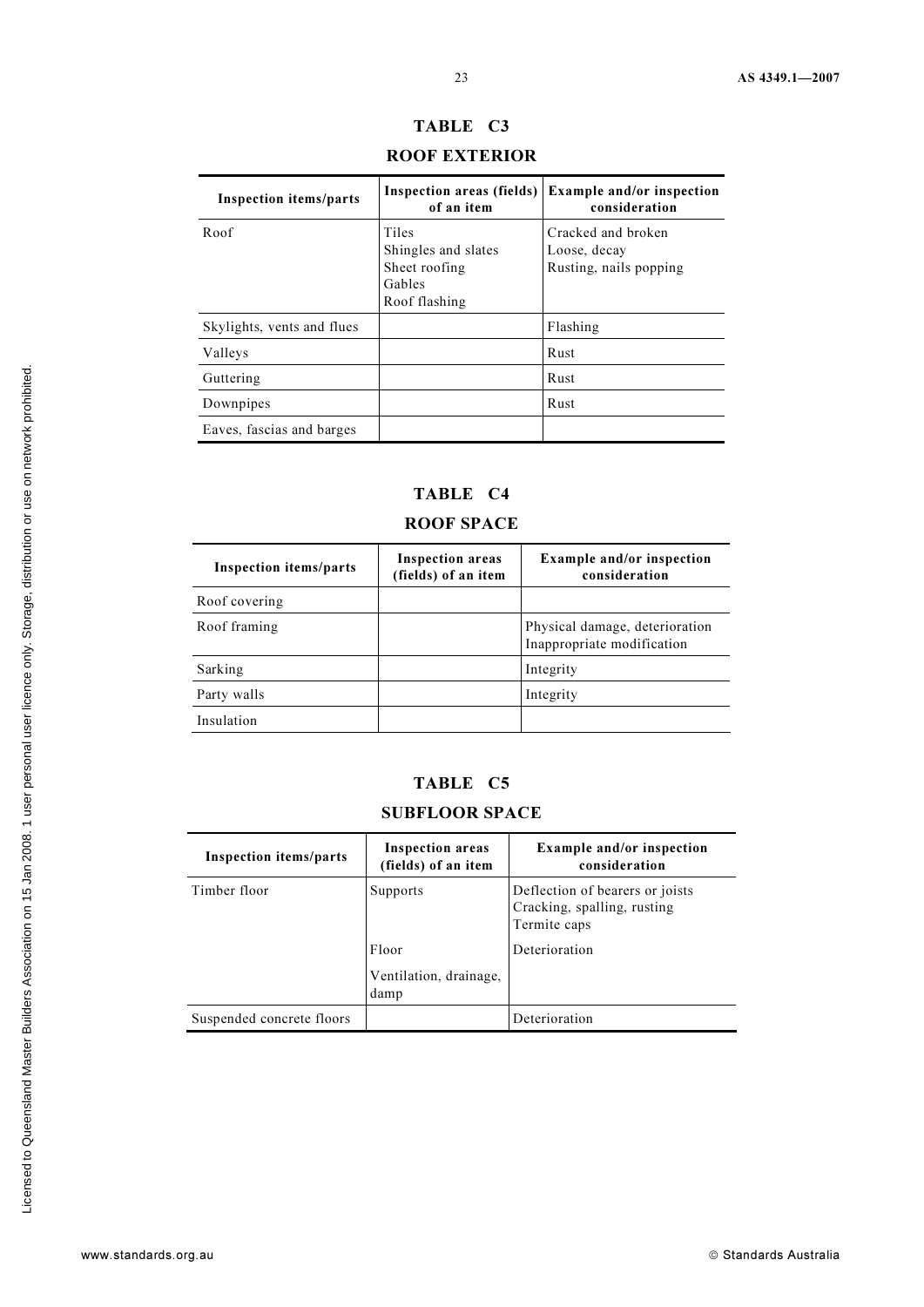| <b>ROOF EXTERIOR</b>          |                                                                          |                                                              |  |  |
|-------------------------------|--------------------------------------------------------------------------|--------------------------------------------------------------|--|--|
| <b>Inspection items/parts</b> | Inspection areas (fields)<br>of an item                                  | <b>Example and/or inspection</b><br>consideration            |  |  |
| Roof                          | Tiles<br>Shingles and slates<br>Sheet roofing<br>Gables<br>Roof flashing | Cracked and broken<br>Loose, decay<br>Rusting, nails popping |  |  |
| Skylights, vents and flues    |                                                                          | Flashing                                                     |  |  |
| Valleys                       |                                                                          | Rust                                                         |  |  |
| Guttering                     |                                                                          | Rust                                                         |  |  |
| Downpipes                     |                                                                          | Rust                                                         |  |  |
| Eaves, fascias and barges     |                                                                          |                                                              |  |  |

# TABLE C3

# TABLE C4

# ROOF SPACE

| <b>Inspection items/parts</b> | <b>Inspection areas</b><br>(fields) of an item | <b>Example and/or inspection</b><br>consideration            |
|-------------------------------|------------------------------------------------|--------------------------------------------------------------|
| Roof covering                 |                                                |                                                              |
| Roof framing                  |                                                | Physical damage, deterioration<br>Inappropriate modification |
| Sarking                       |                                                | Integrity                                                    |
| Party walls                   |                                                | Integrity                                                    |
| Insulation                    |                                                |                                                              |

# TABLE C5

# SUBFLOOR SPACE

| <b>Inspection items/parts</b> | <b>Inspection areas</b><br>(fields) of an item | <b>Example and/or inspection</b><br>consideration                              |
|-------------------------------|------------------------------------------------|--------------------------------------------------------------------------------|
| Timber floor                  | Supports                                       | Deflection of bearers or joists<br>Cracking, spalling, rusting<br>Termite caps |
|                               | Floor                                          | Deterioration                                                                  |
|                               | Ventilation, drainage,<br>damp                 |                                                                                |
| Suspended concrete floors     |                                                | Deterioration                                                                  |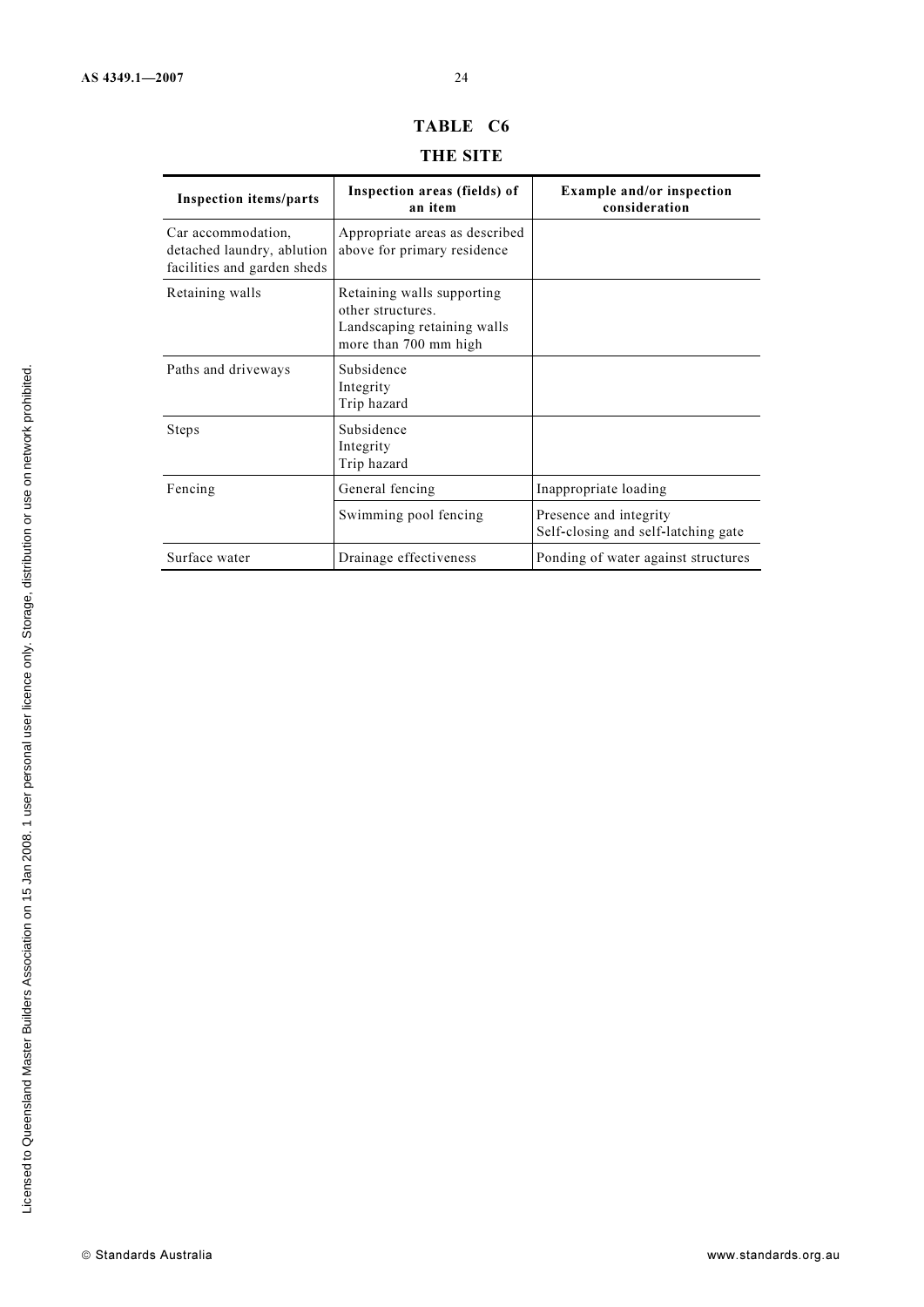# TABLE C6

# THE SITE

| <b>Inspection items/parts</b>                                                   | Inspection areas (fields) of<br>an item                                                                 | <b>Example and/or inspection</b><br>consideration             |
|---------------------------------------------------------------------------------|---------------------------------------------------------------------------------------------------------|---------------------------------------------------------------|
| Car accommodation.<br>detached laundry, ablution<br>facilities and garden sheds | Appropriate areas as described<br>above for primary residence                                           |                                                               |
| Retaining walls                                                                 | Retaining walls supporting<br>other structures.<br>Landscaping retaining walls<br>more than 700 mm high |                                                               |
| Paths and driveways                                                             | Subsidence<br>Integrity<br>Trip hazard                                                                  |                                                               |
| Steps                                                                           | Subsidence<br>Integrity<br>Trip hazard                                                                  |                                                               |
| Fencing                                                                         | General fencing                                                                                         | Inappropriate loading                                         |
|                                                                                 | Swimming pool fencing                                                                                   | Presence and integrity<br>Self-closing and self-latching gate |
| Surface water                                                                   | Drainage effectiveness                                                                                  | Ponding of water against structures                           |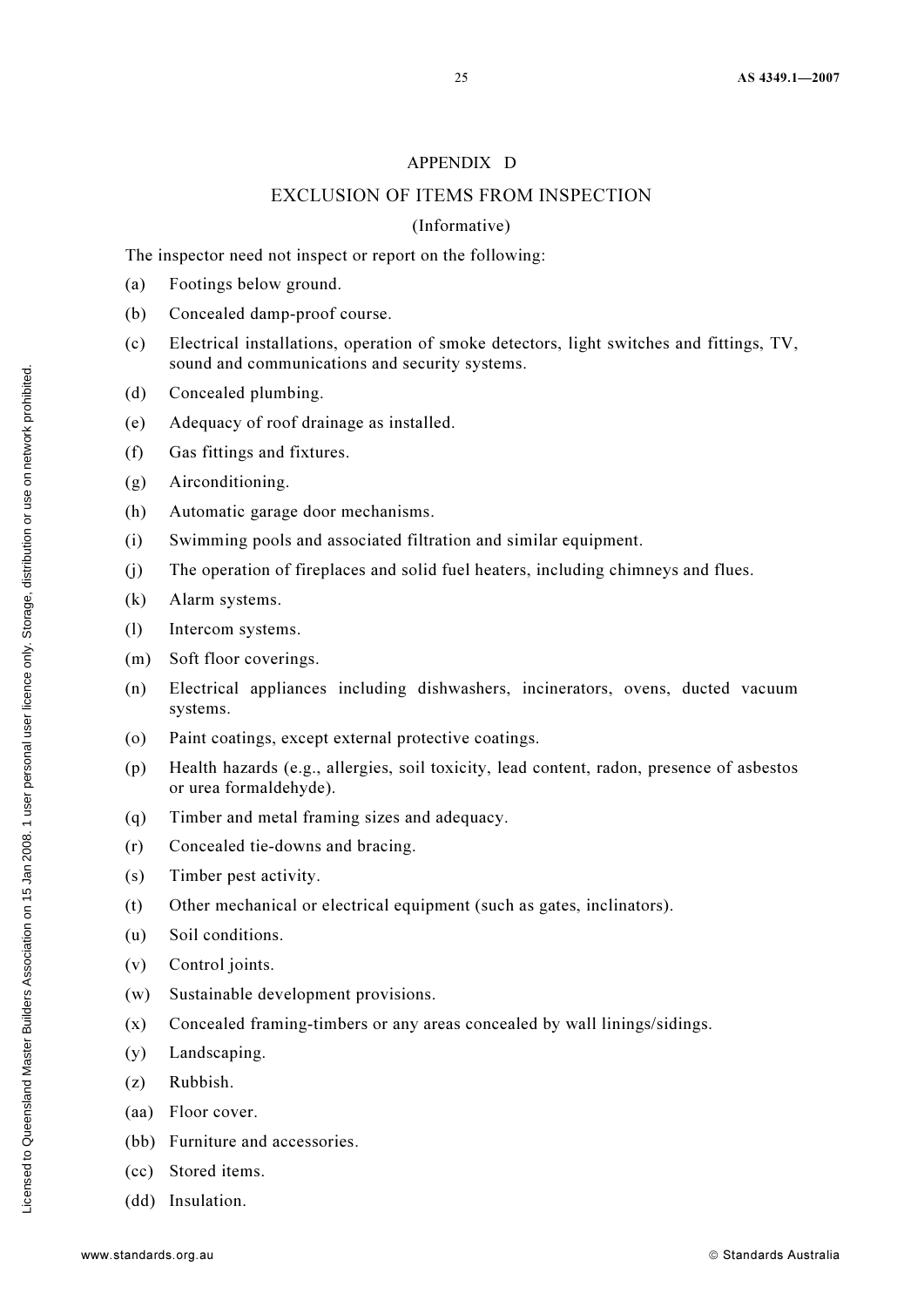#### APPENDIX D

#### EXCLUSION OF ITEMS FROM INSPECTION

#### (Informative)

The inspector need not inspect or report on the following:

- (a) Footings below ground.
- (b) Concealed damp-proof course.
- (c) Electrical installations, operation of smoke detectors, light switches and fittings, TV, sound and communications and security systems.
- (d) Concealed plumbing.
- (e) Adequacy of roof drainage as installed.
- (f) Gas fittings and fixtures.
- (g) Airconditioning.
- (h) Automatic garage door mechanisms.
- (i) Swimming pools and associated filtration and similar equipment.
- (j) The operation of fireplaces and solid fuel heaters, including chimneys and flues.
- (k) Alarm systems.
- (l) Intercom systems.
- (m) Soft floor coverings.
- (n) Electrical appliances including dishwashers, incinerators, ovens, ducted vacuum systems.
- (o) Paint coatings, except external protective coatings.
- (p) Health hazards (e.g., allergies, soil toxicity, lead content, radon, presence of asbestos or urea formaldehyde).
- (q) Timber and metal framing sizes and adequacy.
- (r) Concealed tie-downs and bracing.
- (s) Timber pest activity.
- (t) Other mechanical or electrical equipment (such as gates, inclinators).
- (u) Soil conditions.
- (v) Control joints.
- (w) Sustainable development provisions.
- (x) Concealed framing-timbers or any areas concealed by wall linings/sidings.
- (y) Landscaping.
- (z) Rubbish.
- (aa) Floor cover.
- (bb) Furniture and accessories.
- (cc) Stored items.
- (dd) Insulation.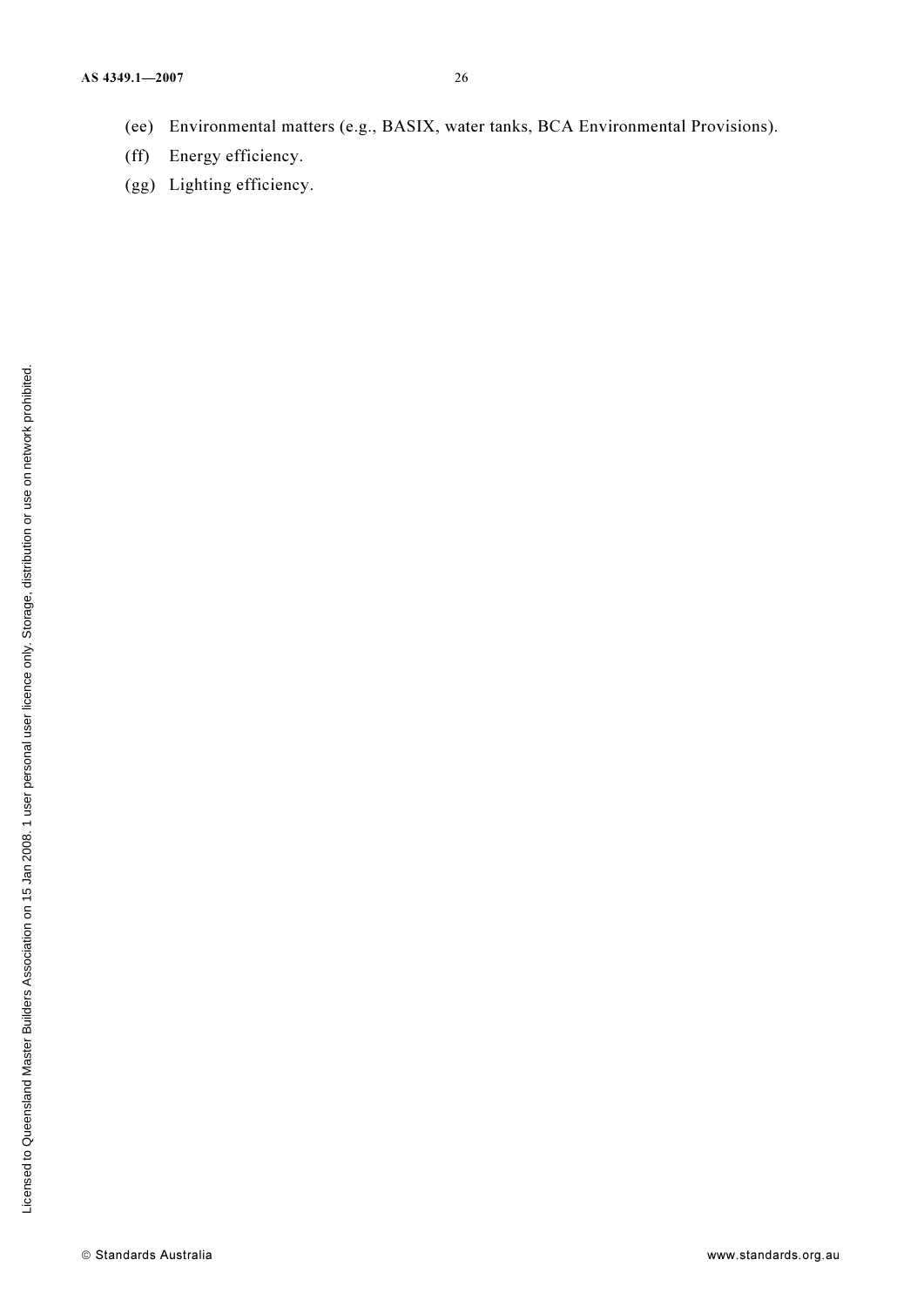- (ee) Environmental matters (e.g., BASIX, water tanks, BCA Environmental Provisions).
- (ff) Energy efficiency.
- (gg) Lighting efficiency.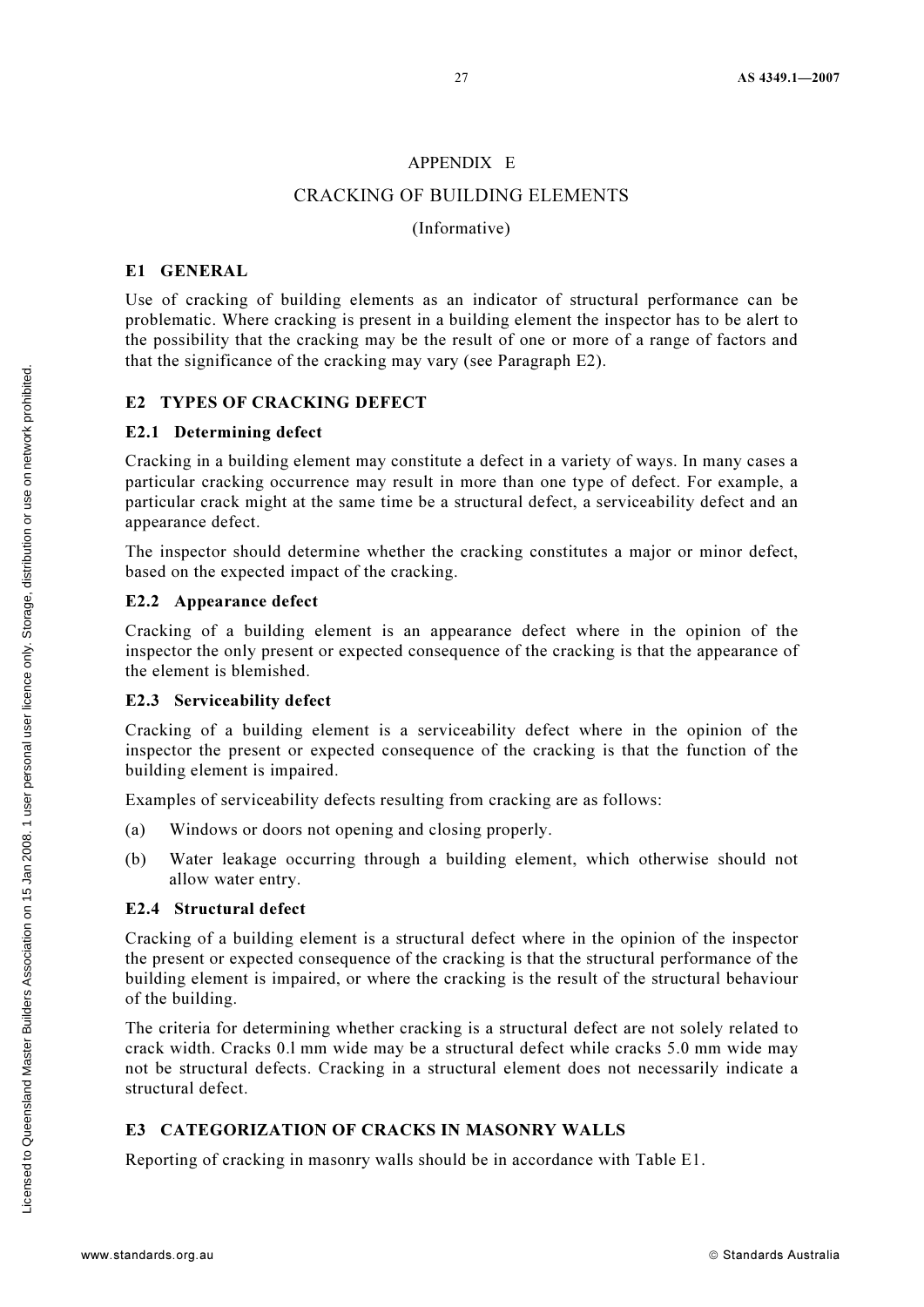#### APPENDIX E

#### CRACKING OF BUILDING ELEMENTS

#### (Informative)

#### E1 GENERAL

Use of cracking of building elements as an indicator of structural performance can be problematic. Where cracking is present in a building element the inspector has to be alert to the possibility that the cracking may be the result of one or more of a range of factors and that the significance of the cracking may vary (see Paragraph E2).

#### E2 TYPES OF CRACKING DEFECT

#### E2.1 Determining defect

Cracking in a building element may constitute a defect in a variety of ways. In many cases a particular cracking occurrence may result in more than one type of defect. For example, a particular crack might at the same time be a structural defect, a serviceability defect and an appearance defect.

The inspector should determine whether the cracking constitutes a major or minor defect, based on the expected impact of the cracking.

#### E2.2 Appearance defect

Cracking of a building element is an appearance defect where in the opinion of the inspector the only present or expected consequence of the cracking is that the appearance of the element is blemished.

#### E2.3 Serviceability defect

Cracking of a building element is a serviceability defect where in the opinion of the inspector the present or expected consequence of the cracking is that the function of the building element is impaired.

Examples of serviceability defects resulting from cracking are as follows:

- (a) Windows or doors not opening and closing properly.
- (b) Water leakage occurring through a building element, which otherwise should not allow water entry.

#### E2.4 Structural defect

Cracking of a building element is a structural defect where in the opinion of the inspector the present or expected consequence of the cracking is that the structural performance of the building element is impaired, or where the cracking is the result of the structural behaviour of the building.

The criteria for determining whether cracking is a structural defect are not solely related to crack width. Cracks 0.l mm wide may be a structural defect while cracks 5.0 mm wide may not be structural defects. Cracking in a structural element does not necessarily indicate a structural defect.

#### E3 CATEGORIZATION OF CRACKS IN MASONRY WALLS

Reporting of cracking in masonry walls should be in accordance with Table E1.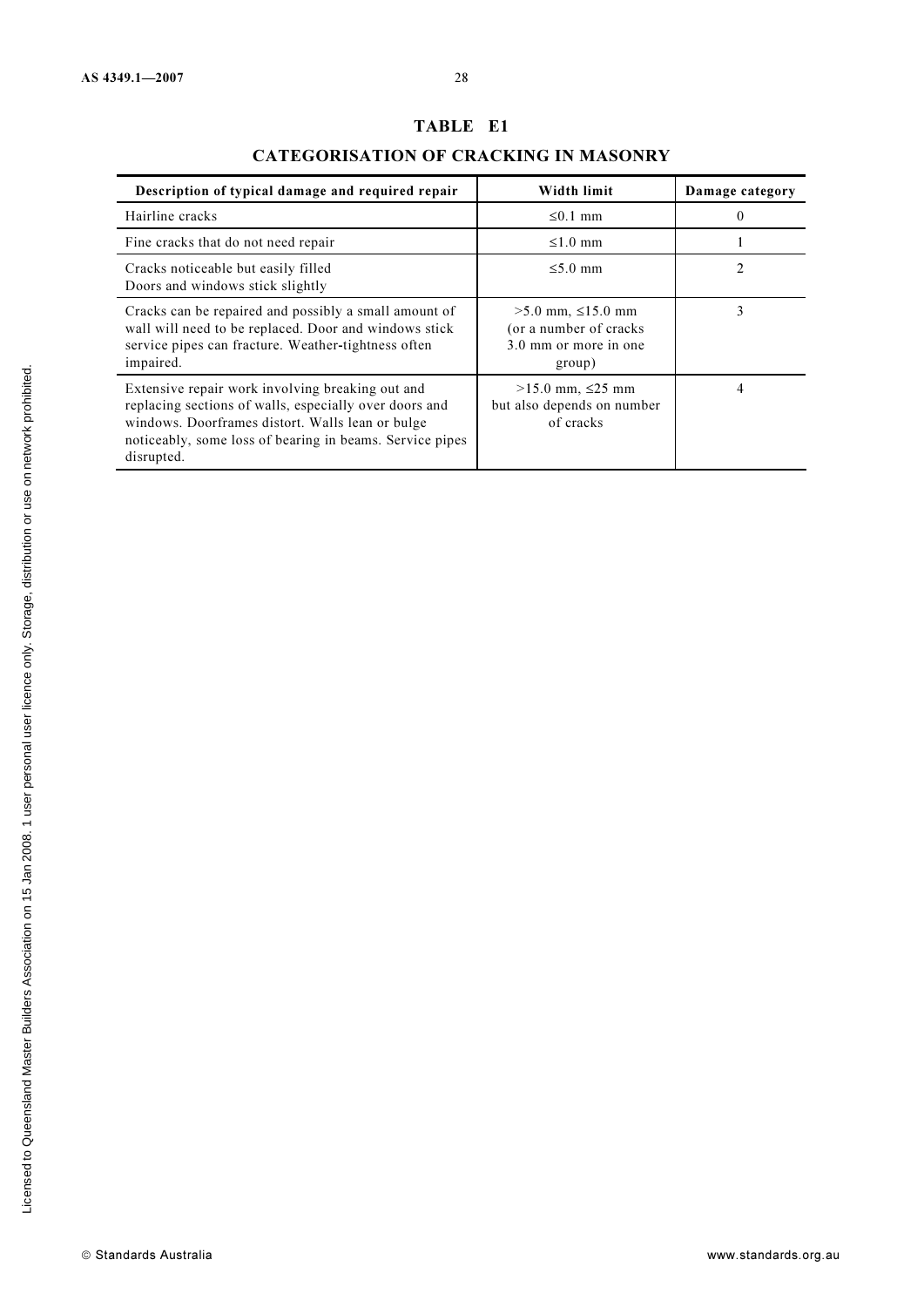# TABLE E1

## CATEGORISATION OF CRACKING IN MASONRY

| Description of typical damage and required repair                                                                                                                                                                                        | Width limit                                                                             | Damage category |
|------------------------------------------------------------------------------------------------------------------------------------------------------------------------------------------------------------------------------------------|-----------------------------------------------------------------------------------------|-----------------|
| Hairline cracks                                                                                                                                                                                                                          | $\leq 0.1$ mm                                                                           | $\Omega$        |
| Fine cracks that do not need repair                                                                                                                                                                                                      | $\leq 1.0$ mm                                                                           |                 |
| Cracks noticeable but easily filled<br>Doors and windows stick slightly                                                                                                                                                                  | $\leq 5.0$ mm                                                                           | $\mathfrak{D}$  |
| Cracks can be repaired and possibly a small amount of<br>wall will need to be replaced. Door and windows stick<br>service pipes can fracture. Weather-tightness often<br>impaired.                                                       | $>5.0$ mm, $\leq 15.0$ mm<br>(or a number of cracks)<br>3.0 mm or more in one<br>group) | 3               |
| Extensive repair work involving breaking out and<br>replacing sections of walls, especially over doors and<br>windows. Doorframes distort. Walls lean or bulge<br>noticeably, some loss of bearing in beams. Service pipes<br>disrupted. | $>15.0$ mm, ≤25 mm<br>but also depends on number<br>of cracks                           | 4               |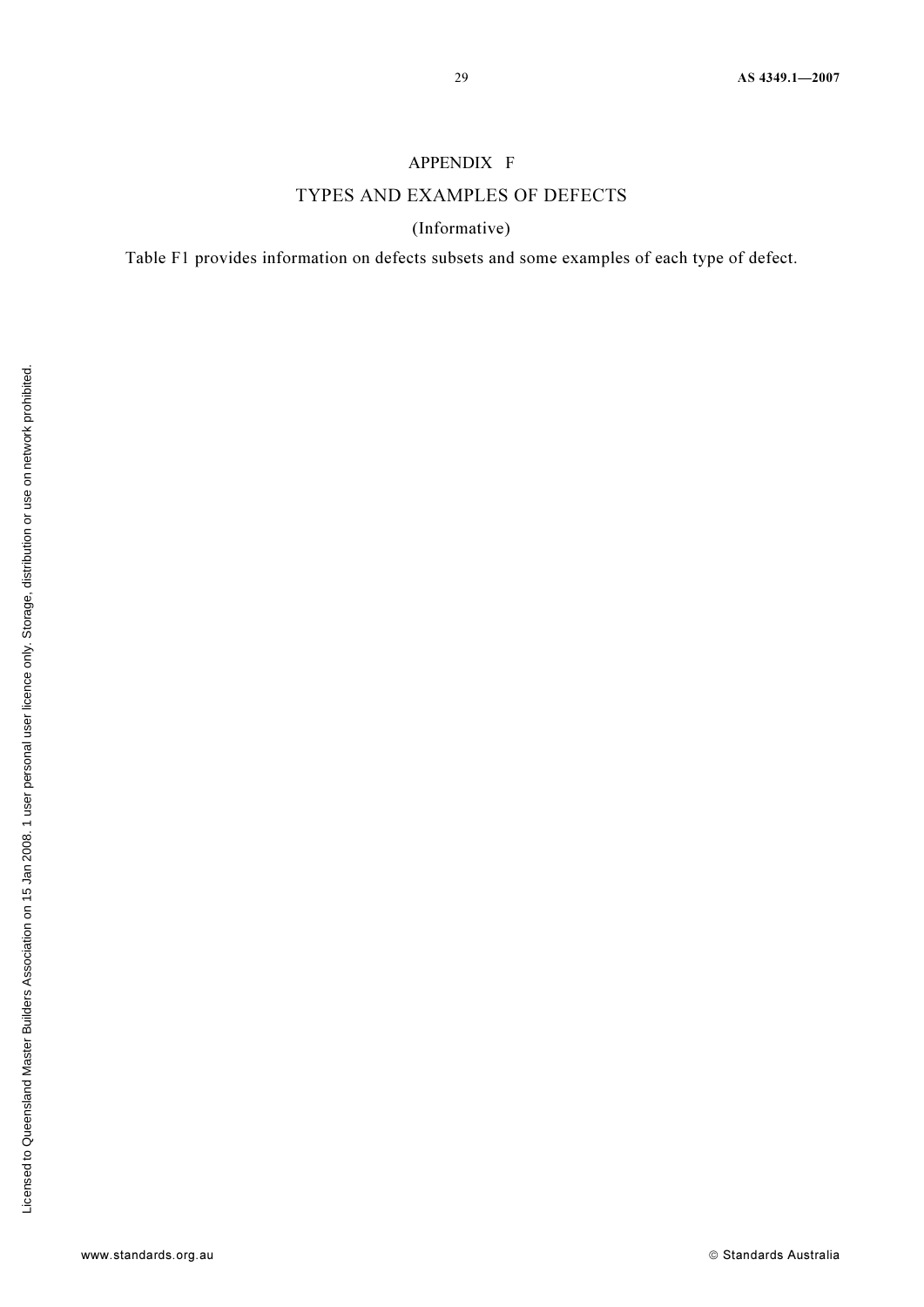#### APPENDIX F

## TYPES AND EXAMPLES OF DEFECTS

(Informative)

Table F1 provides information on defects subsets and some examples of each type of defect.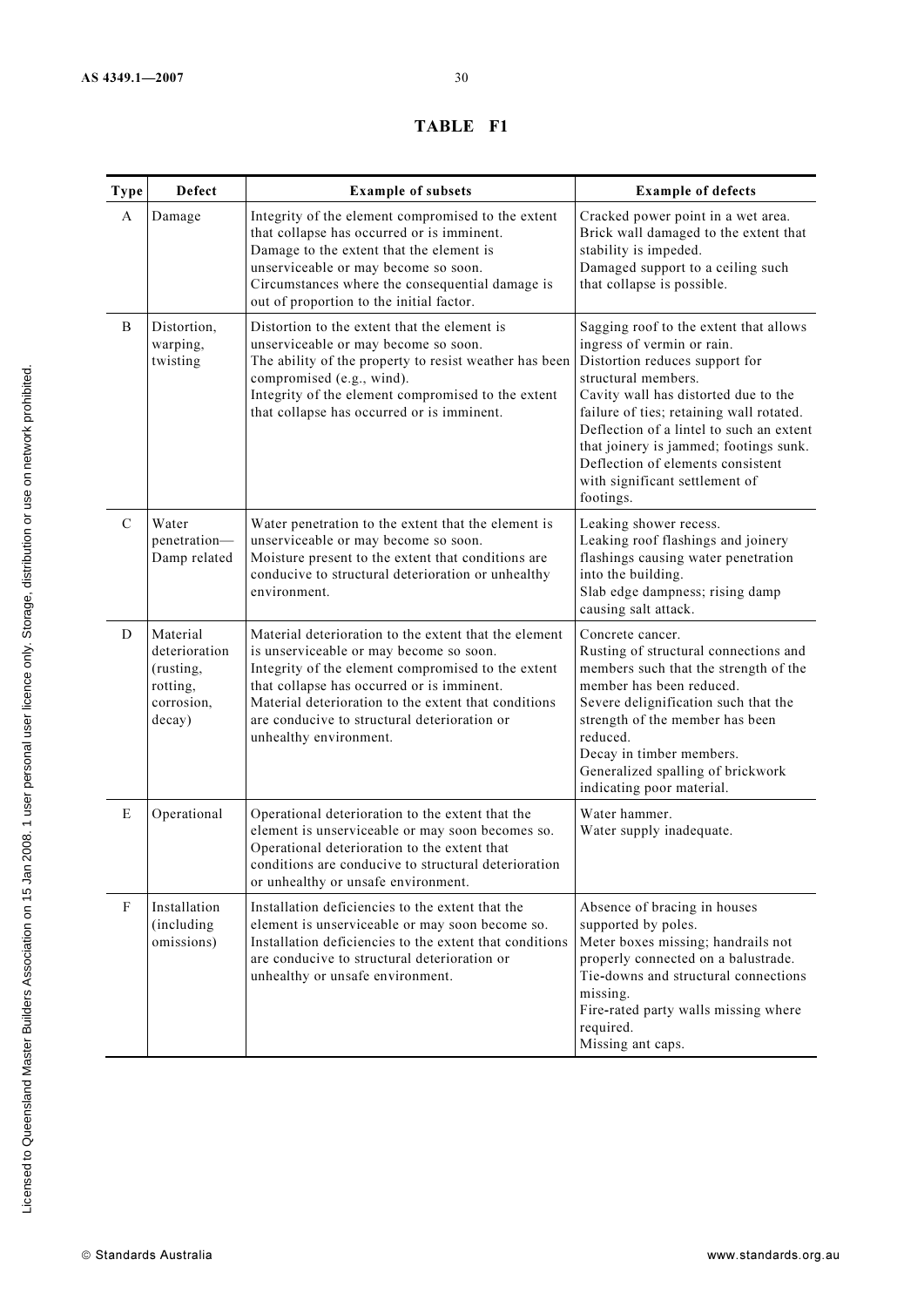### TABLE F1

| <b>Type</b>   | Defect                                                                     | <b>Example of subsets</b>                                                                                                                                                                                                                                                                                                              | <b>Example of defects</b>                                                                                                                                                                                                                                                                                                                                                                   |
|---------------|----------------------------------------------------------------------------|----------------------------------------------------------------------------------------------------------------------------------------------------------------------------------------------------------------------------------------------------------------------------------------------------------------------------------------|---------------------------------------------------------------------------------------------------------------------------------------------------------------------------------------------------------------------------------------------------------------------------------------------------------------------------------------------------------------------------------------------|
| A             | Damage                                                                     | Integrity of the element compromised to the extent<br>that collapse has occurred or is imminent.<br>Damage to the extent that the element is<br>unserviceable or may become so soon.<br>Circumstances where the consequential damage is<br>out of proportion to the initial factor.                                                    | Cracked power point in a wet area.<br>Brick wall damaged to the extent that<br>stability is impeded.<br>Damaged support to a ceiling such<br>that collapse is possible.                                                                                                                                                                                                                     |
| B             | Distortion,<br>warping,<br>twisting                                        | Distortion to the extent that the element is<br>unserviceable or may become so soon.<br>The ability of the property to resist weather has been<br>compromised (e.g., wind).<br>Integrity of the element compromised to the extent<br>that collapse has occurred or is imminent.                                                        | Sagging roof to the extent that allows<br>ingress of vermin or rain.<br>Distortion reduces support for<br>structural members.<br>Cavity wall has distorted due to the<br>failure of ties; retaining wall rotated.<br>Deflection of a lintel to such an extent<br>that joinery is jammed; footings sunk.<br>Deflection of elements consistent<br>with significant settlement of<br>footings. |
| $\mathcal{C}$ | Water<br>penetration-<br>Damp related                                      | Water penetration to the extent that the element is<br>unserviceable or may become so soon.<br>Moisture present to the extent that conditions are<br>conducive to structural deterioration or unhealthy<br>environment.                                                                                                                | Leaking shower recess.<br>Leaking roof flashings and joinery<br>flashings causing water penetration<br>into the building.<br>Slab edge dampness; rising damp<br>causing salt attack.                                                                                                                                                                                                        |
| D             | Material<br>deterioration<br>(rusting,<br>rotting,<br>corrosion,<br>decay) | Material deterioration to the extent that the element<br>is unserviceable or may become so soon.<br>Integrity of the element compromised to the extent<br>that collapse has occurred or is imminent.<br>Material deterioration to the extent that conditions<br>are conducive to structural deterioration or<br>unhealthy environment. | Concrete cancer.<br>Rusting of structural connections and<br>members such that the strength of the<br>member has been reduced.<br>Severe delignification such that the<br>strength of the member has been<br>reduced.<br>Decay in timber members.<br>Generalized spalling of brickwork<br>indicating poor material.                                                                         |
| E             | Operational                                                                | Operational deterioration to the extent that the<br>element is unserviceable or may soon becomes so.<br>Operational deterioration to the extent that<br>conditions are conducive to structural deterioration<br>or unhealthy or unsafe environment.                                                                                    | Water hammer.<br>Water supply inadequate.                                                                                                                                                                                                                                                                                                                                                   |
| ${\bf F}$     | Installation<br>(including<br>omissions)                                   | Installation deficiencies to the extent that the<br>element is unserviceable or may soon become so.<br>Installation deficiencies to the extent that conditions<br>are conducive to structural deterioration or<br>unhealthy or unsafe environment.                                                                                     | Absence of bracing in houses<br>supported by poles.<br>Meter boxes missing; handrails not<br>properly connected on a balustrade.<br>Tie-downs and structural connections<br>missing.<br>Fire-rated party walls missing where<br>required.<br>Missing ant caps.                                                                                                                              |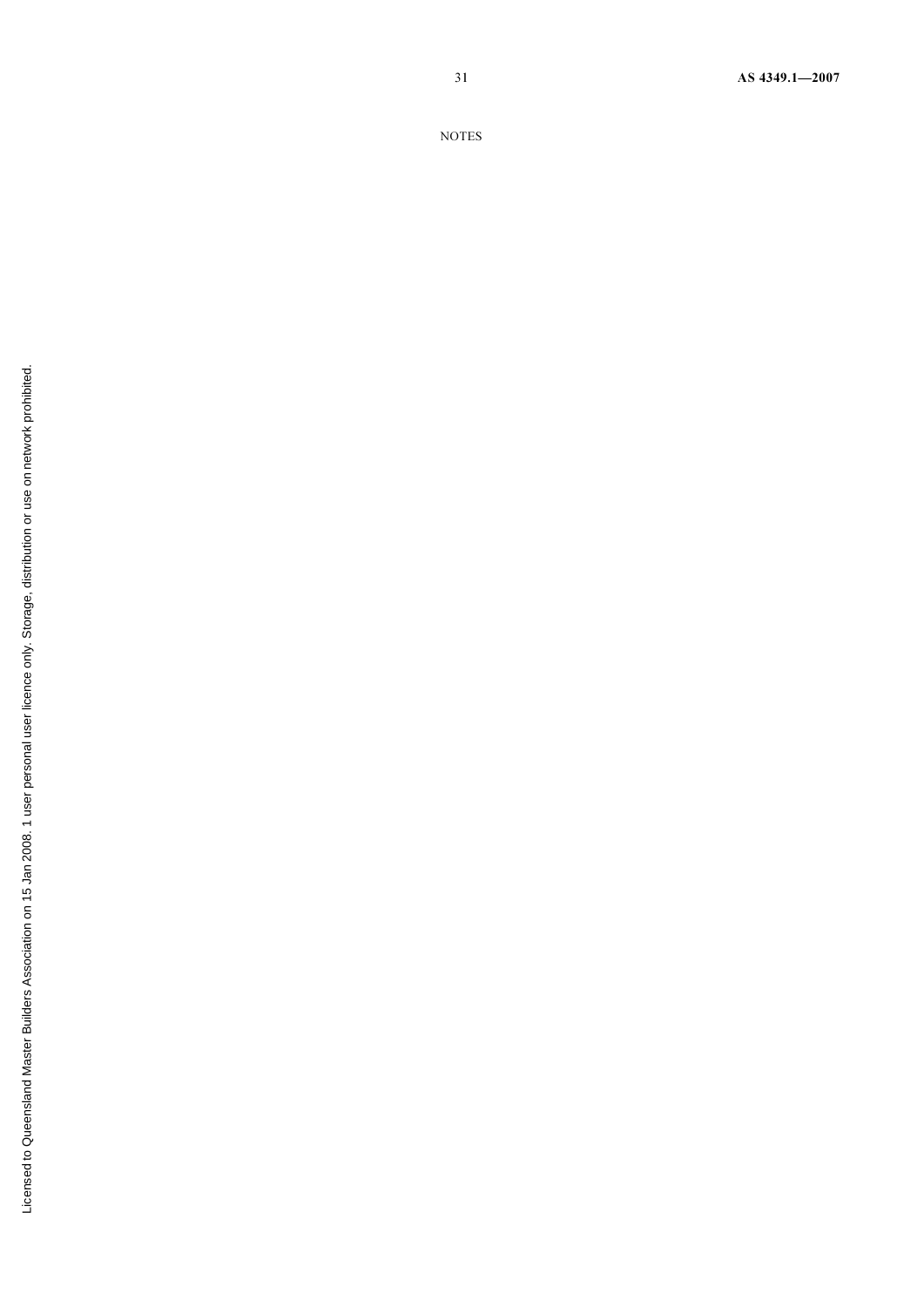31 AS 4349.1—2007

NOTES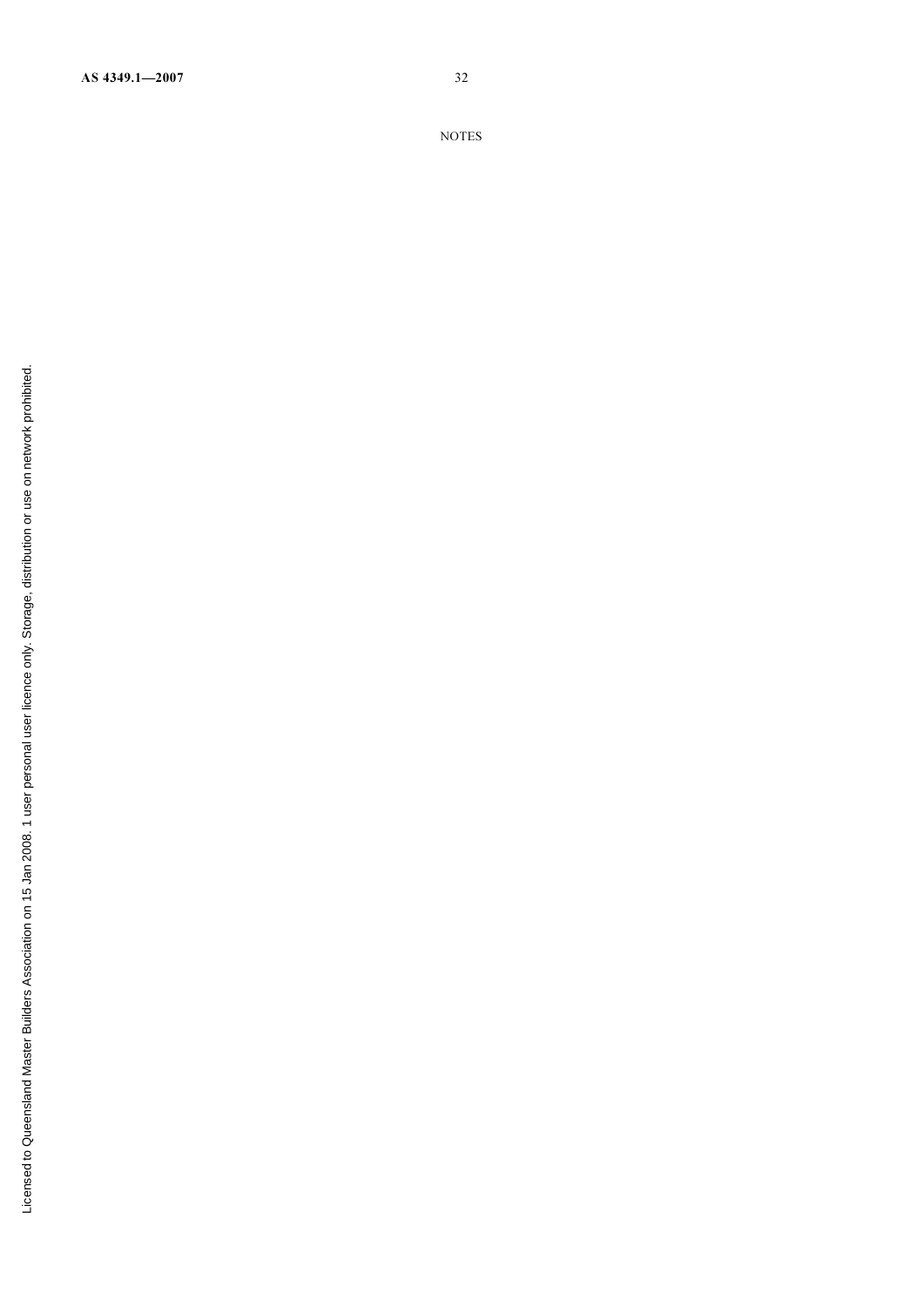NOTES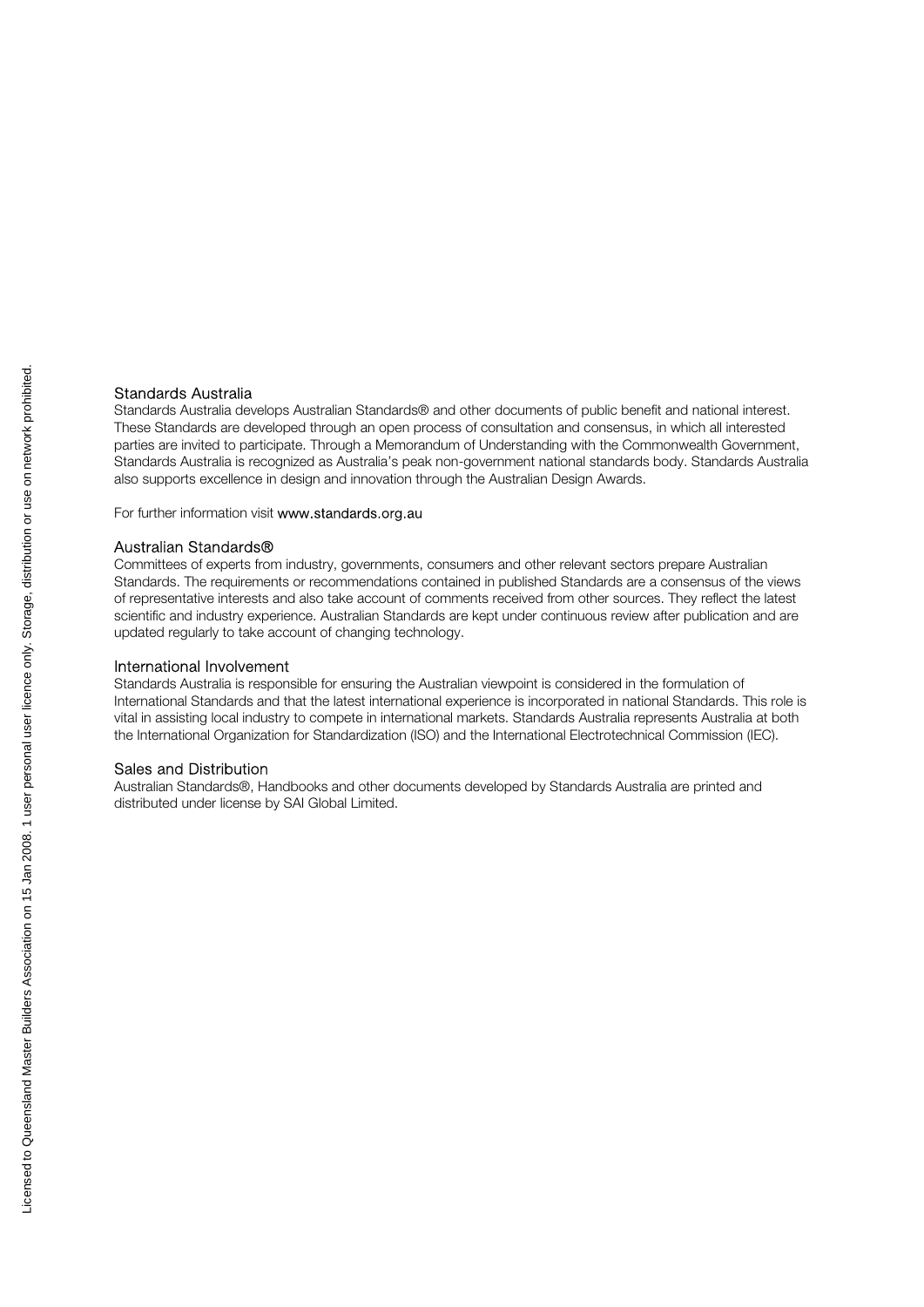#### Standards Australia

Standards Australia develops Australian Standards® and other documents of public benefit and national interest. These Standards are developed through an open process of consultation and consensus, in which all interested parties are invited to participate. Through a Memorandum of Understanding with the Commonwealth Government, Standards Australia is recognized as Australia's peak non-government national standards body. Standards Australia also supports excellence in design and innovation through the Australian Design Awards.

For further information visit www.standards.org.au

#### Australian Standards®

Committees of experts from industry, governments, consumers and other relevant sectors prepare Australian Standards. The requirements or recommendations contained in published Standards are a consensus of the views of representative interests and also take account of comments received from other sources. They reflect the latest scientific and industry experience. Australian Standards are kept under continuous review after publication and are updated regularly to take account of changing technology.

#### International Involvement

Standards Australia is responsible for ensuring the Australian viewpoint is considered in the formulation of International Standards and that the latest international experience is incorporated in national Standards. This role is vital in assisting local industry to compete in international markets. Standards Australia represents Australia at both the International Organization for Standardization (ISO) and the International Electrotechnical Commission (IEC).

#### Sales and Distribution

Australian Standards®, Handbooks and other documents developed by Standards Australia are printed and distributed under license by SAI Global Limited.